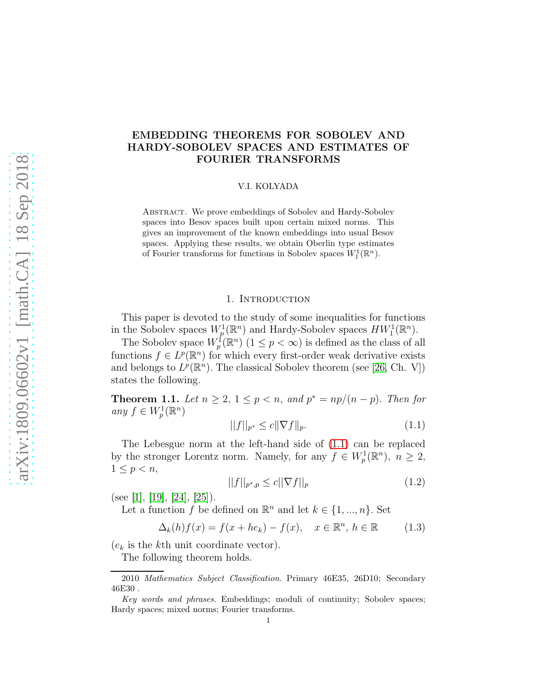## EMBEDDING THEOREMS FOR SOBOLEV AND HARDY-SOBOLEV SPACES AND ESTIMATES OF FOURIER TRANSFORMS

V.I. KOLYADA

Abstract. We prove embeddings of Sobolev and Hardy-Sobolev spaces into Besov spaces built upon certain mixed norms. This gives an improvement of the known embeddings into usual Besov spaces. Applying these results, we obtain Oberlin type estimates of Fourier transforms for functions in Sobolev spaces  $W_1^1(\mathbb{R}^n)$ .

### 1. INTRODUCTION

This paper is devoted to the study of some inequalities for functions in the Sobolev spaces  $W_p^1(\mathbb{R}^n)$  and Hardy-Sobolev spaces  $HW_1^1(\mathbb{R}^n)$ .

The Sobolev space  $W_p^{\{f\}}(\mathbb{R}^n)$   $(1 \leq p < \infty)$  is defined as the class of all functions  $f \in L^p(\mathbb{R}^n)$  for which every first-order weak derivative exists and belongs to  $L^p(\mathbb{R}^n)$ . The classical Sobolev theorem (see [\[26,](#page-27-0) Ch. V]) states the following.

**Theorem 1.1.** Let  $n \geq 2$ ,  $1 \leq p < n$ , and  $p^* = np/(n-p)$ . Then for any  $f \in W_p^1(\mathbb{R}^n)$ 

<span id="page-0-0"></span>
$$
||f||_{p^*} \le c||\nabla f||_p. \tag{1.1}
$$

The Lebesgue norm at the left-hand side of [\(1.1\)](#page-0-0) can be replaced by the stronger Lorentz norm. Namely, for any  $f \in W_p^1(\mathbb{R}^n)$ ,  $n \geq 2$ ,  $1 \leq p < n$ ,

<span id="page-0-2"></span>
$$
||f||_{p^*,p} \le c||\nabla f||_p \tag{1.2}
$$

(see [\[1\]](#page-25-0), [\[19\]](#page-26-0), [\[24\]](#page-26-1), [\[25\]](#page-27-1)).

Let a function f be defined on  $\mathbb{R}^n$  and let  $k \in \{1, ..., n\}$ . Set

<span id="page-0-1"></span>
$$
\Delta_k(h)f(x) = f(x + he_k) - f(x), \quad x \in \mathbb{R}^n, h \in \mathbb{R}
$$
 (1.3)

 $(e_k)$  is the k<sup>th</sup> unit coordinate vector).

The following theorem holds.

<sup>2010</sup> Mathematics Subject Classification. Primary 46E35, 26D10; Secondary 46E30 .

Key words and phrases. Embeddings; moduli of continuity; Sobolev spaces; Hardy spaces; mixed norms; Fourier transforms.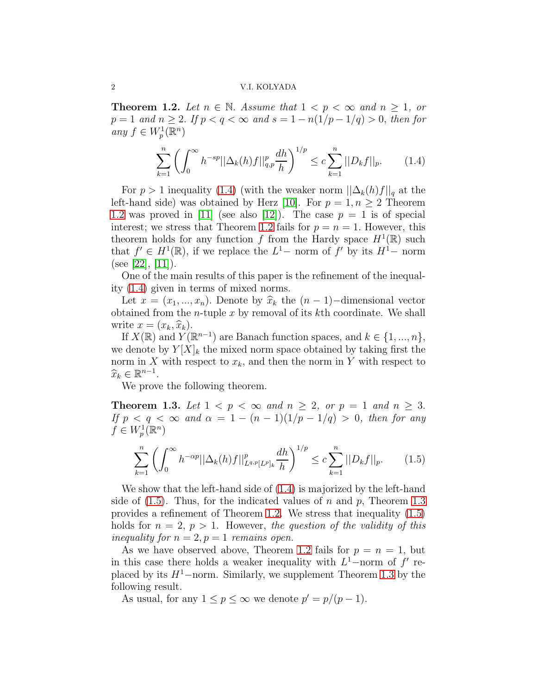### 2 V.I. KOLYADA

<span id="page-1-1"></span>**Theorem 1.2.** Let  $n \in \mathbb{N}$ . Assume that  $1 < p < \infty$  and  $n \geq 1$ , or  $p = 1$  and  $n \ge 2$ . If  $p < q < \infty$  and  $s = 1 - n(1/p - 1/q) > 0$ , then for any  $f \in W_p^1(\mathbb{R}^n)$ 

<span id="page-1-0"></span>
$$
\sum_{k=1}^{n} \left( \int_{0}^{\infty} h^{-sp} ||\Delta_{k}(h)f||_{q,p}^{p} \frac{dh}{h} \right)^{1/p} \leq c \sum_{k=1}^{n} ||D_{k}f||_{p}. \tag{1.4}
$$

For  $p > 1$  inequality [\(1.4\)](#page-1-0) (with the weaker norm  $||\Delta_k(h)f||_q$  at the left-hand side) was obtained by Herz [\[10\]](#page-26-2). For  $p = 1, n \geq 2$  Theorem [1.2](#page-1-1) was proved in [\[11\]](#page-26-3) (see also [\[12\]](#page-26-4)). The case  $p = 1$  is of special interest; we stress that Theorem [1.2](#page-1-1) fails for  $p = n = 1$ . However, this theorem holds for any function f from the Hardy space  $H^1(\mathbb{R})$  such that  $f' \in H^1(\mathbb{R})$ , if we replace the  $L^1-$  norm of  $f'$  by its  $H^1-$  norm (see [\[22\]](#page-26-5), [\[11\]](#page-26-3)).

One of the main results of this paper is the refinement of the inequality [\(1.4\)](#page-1-0) given in terms of mixed norms.

Let  $x = (x_1, ..., x_n)$ . Denote by  $\hat{x}_k$  the  $(n-1)$ –dimensional vector obtained from the *n*-tuple  $x$  by removal of its  $k$ th coordinate. We shall write  $x = (x_k, \hat{x}_k)$ .

If  $X(\mathbb{R})$  and  $Y(\mathbb{R}^{n-1})$  are Banach function spaces, and  $k \in \{1, ..., n\}$ , we denote by  $Y[X]_k$  the mixed norm space obtained by taking first the norm in X with respect to  $x_k$ , and then the norm in Y with respect to  $\widehat{x}_k \in \mathbb{R}^{n-1}$ .

We prove the following theorem.

<span id="page-1-3"></span>**Theorem 1.3.** Let  $1 < p < \infty$  and  $n \geq 2$ , or  $p = 1$  and  $n \geq 3$ . If  $p < q < \infty$  and  $\alpha = 1 - (n-1)(1/p - 1/q) > 0$ , then for any  $f \in W_p^1(\mathbb{R}^n)$ 

<span id="page-1-2"></span>
$$
\sum_{k=1}^{n} \left( \int_{0}^{\infty} h^{-\alpha p} ||\Delta_{k}(h)f||_{L^{q,p}[L^{p}]_{k}}^{p} \frac{dh}{h} \right)^{1/p} \leq c \sum_{k=1}^{n} ||D_{k}f||_{p}. \tag{1.5}
$$

We show that the left-hand side of [\(1.4\)](#page-1-0) is majorized by the left-hand side of  $(1.5)$ . Thus, for the indicated values of n and p, Theorem [1.3](#page-1-3) provides a refinement of Theorem [1.2.](#page-1-1) We stress that inequality [\(1.5\)](#page-1-2) holds for  $n = 2$ ,  $p > 1$ . However, the question of the validity of this inequality for  $n = 2, p = 1$  remains open.

As we have observed above, Theorem [1.2](#page-1-1) fails for  $p = n = 1$ , but in this case there holds a weaker inequality with  $L^1$ –norm of f' replaced by its  $H^1$ –norm. Similarly, we supplement Theorem [1.3](#page-1-3) by the following result.

As usual, for any  $1 \le p \le \infty$  we denote  $p' = p/(p-1)$ .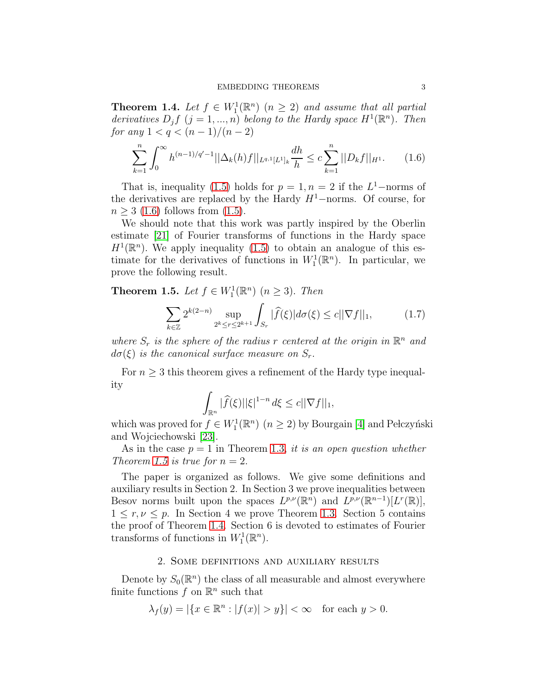<span id="page-2-2"></span>**Theorem 1.4.** Let  $f \in W_1^1(\mathbb{R}^n)$   $(n \geq 2)$  and assume that all partial derivatives  $D_j f$   $(j = 1, ..., n)$  belong to the Hardy space  $H^1(\mathbb{R}^n)$ . Then for any  $1 < q < (n-1)/(n-2)$ 

<span id="page-2-0"></span>
$$
\sum_{k=1}^{n} \int_{0}^{\infty} h^{(n-1)/q'-1} ||\Delta_{k}(h)f||_{L^{q,1}[L^{1}]_{k}} \frac{dh}{h} \leq c \sum_{k=1}^{n} ||D_{k}f||_{H^{1}}.
$$
 (1.6)

That is, inequality [\(1.5\)](#page-1-2) holds for  $p = 1, n = 2$  if the  $L^1$ -norms of the derivatives are replaced by the Hardy  $H^1$ –norms. Of course, for  $n \geq 3$  [\(1.6\)](#page-2-0) follows from [\(1.5\)](#page-1-2).

We should note that this work was partly inspired by the Oberlin estimate [\[21\]](#page-26-6) of Fourier transforms of functions in the Hardy space  $H^1(\mathbb{R}^n)$ . We apply inequality [\(1.5\)](#page-1-2) to obtain an analogue of this estimate for the derivatives of functions in  $W_1^1(\mathbb{R}^n)$ . In particular, we prove the following result.

<span id="page-2-1"></span>**Theorem 1.5.** Let  $f \in W_1^1(\mathbb{R}^n)$   $(n \geq 3)$ . Then

$$
\sum_{k \in \mathbb{Z}} 2^{k(2-n)} \sup_{2^k \le r \le 2^{k+1}} \int_{S_r} |\widehat{f}(\xi)| d\sigma(\xi) \le c ||\nabla f||_1, \tag{1.7}
$$

where  $S_r$  is the sphere of the radius r centered at the origin in  $\mathbb{R}^n$  and  $d\sigma(\xi)$  is the canonical surface measure on  $S_r$ .

For  $n \geq 3$  this theorem gives a refinement of the Hardy type inequality

$$
\int_{\mathbb{R}^n} |\widehat{f}(\xi)||\xi|^{1-n} d\xi \le c||\nabla f||_1,
$$

which was proved for  $f \in W_1^1(\mathbb{R}^n)$   $(n \geq 2)$  by Bourgain [\[4\]](#page-26-7) and Pełczyński and Wojciechowski [\[23\]](#page-26-8).

As in the case  $p = 1$  in Theorem [1.3,](#page-1-3) it is an open question whether Theorem [1.5](#page-2-1) is true for  $n = 2$ .

The paper is organized as follows. We give some definitions and auxiliary results in Section 2. In Section 3 we prove inequalities between Besov norms built upon the spaces  $L^{p,\nu}(\mathbb{R}^n)$  and  $L^{p,\nu}(\mathbb{R}^{n-1})[L^r(\mathbb{R})],$  $1 \leq r, \nu \leq p$ . In Section 4 we prove Theorem [1.3.](#page-1-3) Section 5 contains the proof of Theorem [1.4.](#page-2-2) Section 6 is devoted to estimates of Fourier transforms of functions in  $W_1^1(\mathbb{R}^n)$ .

### 2. Some definitions and auxiliary results

Denote by  $S_0(\mathbb{R}^n)$  the class of all measurable and almost everywhere finite functions  $f$  on  $\mathbb{R}^n$  such that

$$
\lambda_f(y) = |\{x \in \mathbb{R}^n : |f(x)| > y\}| < \infty \quad \text{for each } y > 0.
$$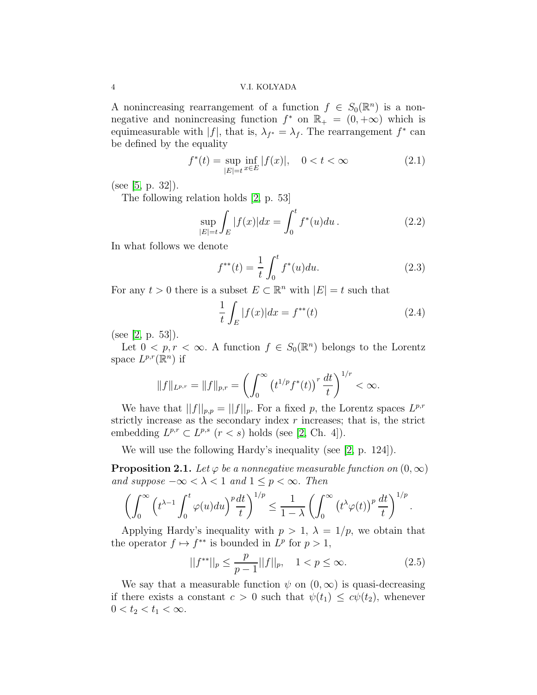A nonincreasing rearrangement of a function  $f \in S_0(\mathbb{R}^n)$  is a nonnegative and nonincreasing function  $f^*$  on  $\mathbb{R}_+ = (0, +\infty)$  which is equimeasurable with  $|f|$ , that is,  $\lambda_{f^*} = \lambda_f$ . The rearrangement  $f^*$  can be defined by the equality

$$
f^*(t) = \sup_{|E|=t} \inf_{x \in E} |f(x)|, \quad 0 < t < \infty \tag{2.1}
$$

(see [\[5,](#page-26-9) p. 32]).

The following relation holds [\[2,](#page-25-1) p. 53]

<span id="page-3-2"></span>
$$
\sup_{|E|=t} \int_{E} |f(x)| dx = \int_{0}^{t} f^{*}(u) du.
$$
 (2.2)

In what follows we denote

<span id="page-3-4"></span>
$$
f^{**}(t) = \frac{1}{t} \int_0^t f^*(u) du.
$$
 (2.3)

For any  $t > 0$  there is a subset  $E \subset \mathbb{R}^n$  with  $|E| = t$  such that

<span id="page-3-1"></span>
$$
\frac{1}{t} \int_{E} |f(x)| dx = f^{**}(t)
$$
\n(2.4)

(see [\[2,](#page-25-1) p. 53]).

Let  $0 < p, r < \infty$ . A function  $f \in S_0(\mathbb{R}^n)$  belongs to the Lorentz space  $L^{p,r}(\mathbb{R}^n)$  if

$$
||f||_{L^{p,r}} = ||f||_{p,r} = \left(\int_0^\infty \left(t^{1/p} f^*(t)\right)^r \frac{dt}{t}\right)^{1/r} < \infty.
$$

We have that  $||f||_{p,p} = ||f||_p$ . For a fixed p, the Lorentz spaces  $L^{p,r}$ strictly increase as the secondary index  $r$  increases; that is, the strict embedding  $L^{p,r} \subset L^{p,s}$   $(r < s)$  holds (see [\[2,](#page-25-1) Ch. 4]).

We will use the following Hardy's inequality (see [\[2,](#page-25-1) p. 124]).

<span id="page-3-0"></span>**Proposition 2.1.** Let  $\varphi$  be a nonnegative measurable function on  $(0, \infty)$ and suppose  $-\infty < \lambda < 1$  and  $1 \leq p < \infty$ . Then

$$
\left(\int_0^\infty \left(t^{\lambda-1} \int_0^t \varphi(u) du\right)^p \frac{dt}{t}\right)^{1/p} \leq \frac{1}{1-\lambda} \left(\int_0^\infty \left(t^{\lambda} \varphi(t)\right)^p \frac{dt}{t}\right)^{1/p}.
$$

Applying Hardy's inequality with  $p > 1$ ,  $\lambda = 1/p$ , we obtain that the operator  $f \mapsto f^{**}$  is bounded in  $L^p$  for  $p > 1$ ,

<span id="page-3-3"></span>
$$
||f^{**}||_p \le \frac{p}{p-1} ||f||_p, \quad 1 < p \le \infty. \tag{2.5}
$$

We say that a measurable function  $\psi$  on  $(0,\infty)$  is quasi-decreasing if there exists a constant  $c > 0$  such that  $\psi(t_1) \leq c\psi(t_2)$ , whenever  $0 < t_2 < t_1 < \infty$ .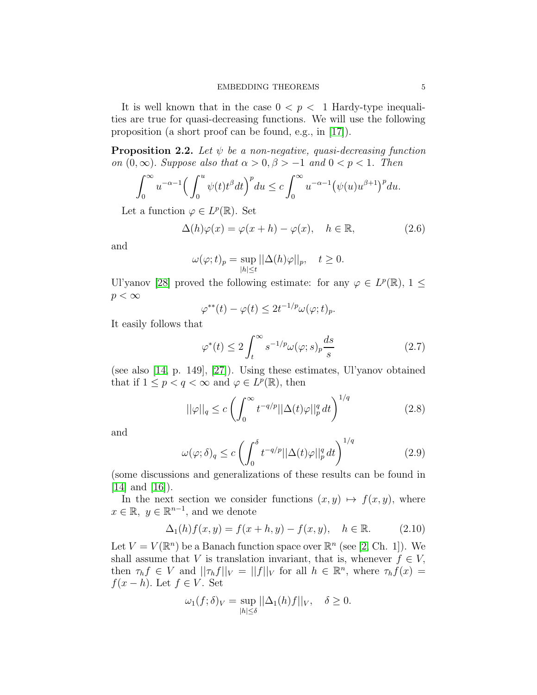It is well known that in the case  $0 < p < 1$  Hardy-type inequalities are true for quasi-decreasing functions. We will use the following proposition (a short proof can be found, e.g., in [\[17\]](#page-26-10)).

<span id="page-4-4"></span>**Proposition 2.2.** Let  $\psi$  be a non-negative, quasi-decreasing function on  $(0, \infty)$ . Suppose also that  $\alpha > 0, \beta > -1$  and  $0 < p < 1$ . Then

$$
\int_0^\infty u^{-\alpha-1} \Big(\int_0^u \psi(t)t^{\beta} dt\Big)^p du \leq c \int_0^\infty u^{-\alpha-1} \big(\psi(u)u^{\beta+1}\big)^p du.
$$

Let a function  $\varphi \in L^p(\mathbb{R})$ . Set

<span id="page-4-2"></span>
$$
\Delta(h)\varphi(x) = \varphi(x+h) - \varphi(x), \quad h \in \mathbb{R}, \tag{2.6}
$$

and

$$
\omega(\varphi; t)_p = \sup_{|h| \le t} ||\Delta(h)\varphi||_p, \quad t \ge 0.
$$

Ul'yanov [\[28\]](#page-27-2) proved the following estimate: for any  $\varphi \in L^p(\mathbb{R})$ ,  $1 \leq$  $p < \infty$ 

$$
\varphi^{**}(t) - \varphi(t) \le 2t^{-1/p} \omega(\varphi; t)_p.
$$

It easily follows that

<span id="page-4-5"></span>
$$
\varphi^*(t) \le 2 \int_t^\infty s^{-1/p} \omega(\varphi; s)_p \frac{ds}{s} \tag{2.7}
$$

(see also [\[14,](#page-26-11) p. 149], [\[27\]](#page-27-3)). Using these estimates, Ul'yanov obtained that if  $1 \leq p < q < \infty$  and  $\varphi \in L^p(\mathbb{R})$ , then

<span id="page-4-0"></span>
$$
||\varphi||_q \le c \left(\int_0^\infty t^{-q/p} ||\Delta(t)\varphi||_p^q dt\right)^{1/q} \tag{2.8}
$$

and

<span id="page-4-1"></span>
$$
\omega(\varphi;\delta)_q \le c \left( \int_0^\delta t^{-q/p} ||\Delta(t)\varphi||_p^q dt \right)^{1/q} \tag{2.9}
$$

(some discussions and generalizations of these results can be found in  $[14]$  and  $[16]$ ).

In the next section we consider functions  $(x, y) \mapsto f(x, y)$ , where  $x \in \mathbb{R}, y \in \mathbb{R}^{n-1}$ , and we denote

<span id="page-4-3"></span>
$$
\Delta_1(h)f(x,y) = f(x+h,y) - f(x,y), \quad h \in \mathbb{R}.
$$
 (2.10)

Let  $V = V(\mathbb{R}^n)$  be a Banach function space over  $\mathbb{R}^n$  (see [\[2,](#page-25-1) Ch. 1]). We shall assume that V is translation invariant, that is, whenever  $f \in V$ , then  $\tau_h f \in V$  and  $||\tau_h f||_V = ||f||_V$  for all  $h \in \mathbb{R}^n$ , where  $\tau_h f(x) =$  $f(x-h)$ . Let  $f \in V$ . Set

$$
\omega_1(f; \delta)_V = \sup_{|h| \le \delta} ||\Delta_1(h)f||_V, \quad \delta \ge 0.
$$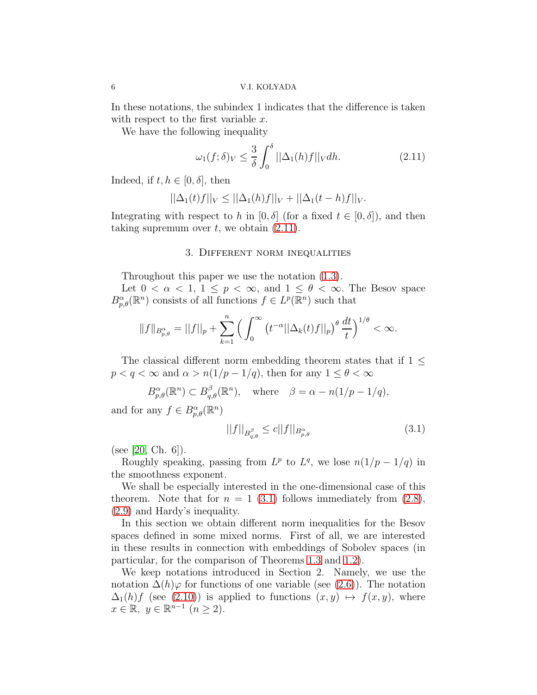In these notations, the subindex 1 indicates that the difference is taken with respect to the first variable  $x$ .

We have the following inequality

<span id="page-5-0"></span>
$$
\omega_1(f;\delta)_V \le \frac{3}{\delta} \int_0^\delta ||\Delta_1(h)f||_V dh. \tag{2.11}
$$

Indeed, if  $t, h \in [0, \delta]$ , then

$$
||\Delta_1(t)f||_V \leq ||\Delta_1(h)f||_V + ||\Delta_1(t-h)f||_V.
$$

Integrating with respect to h in  $[0, \delta]$  (for a fixed  $t \in [0, \delta]$ ), and then taking supremum over  $t$ , we obtain  $(2.11)$ .

### 3. Different norm inequalities

Throughout this paper we use the notation [\(1.3\)](#page-0-1).

Let  $0 < \alpha < 1, 1 \le p < \infty$ , and  $1 \le \theta < \infty$ . The Besov space  $B^{\alpha}_{p,\theta}(\mathbb{R}^n)$  consists of all functions  $f \in L^p(\mathbb{R}^n)$  such that

$$
||f||_{B^{\alpha}_{p,\theta}}=||f||_{p}+\sum_{k=1}^{n}\Big(\int_{0}^{\infty}\big(t^{-\alpha}||\Delta_{k}(t)f||_{p}\big)^{\theta}\frac{dt}{t}\Big)^{1/\theta}<\infty.
$$

The classical different norm embedding theorem states that if  $1 \leq$  $p < q < \infty$  and  $\alpha > n(1/p - 1/q)$ , then for any  $1 \leq \theta < \infty$ 

$$
B_{p,\theta}^{\alpha}(\mathbb{R}^n) \subset B_{q,\theta}^{\beta}(\mathbb{R}^n), \quad \text{where} \quad \beta = \alpha - n(1/p - 1/q),
$$

and for any  $f \in B^{\alpha}_{p,\theta}(\mathbb{R}^n)$ 

<span id="page-5-1"></span>
$$
||f||_{B^{\beta}_{q,\theta}} \leq c||f||_{B^{\alpha}_{p,\theta}} \tag{3.1}
$$

(see [\[20,](#page-26-13) Ch. 6]).

Roughly speaking, passing from  $L^p$  to  $L^q$ , we lose  $n(1/p - 1/q)$  in the smoothness exponent.

We shall be especially interested in the one-dimensional case of this theorem. Note that for  $n = 1$  [\(3.1\)](#page-5-1) follows immediately from [\(2.8\)](#page-4-0), [\(2.9\)](#page-4-1) and Hardy's inequality.

In this section we obtain different norm inequalities for the Besov spaces defined in some mixed norms. First of all, we are interested in these results in connection with embeddings of Sobolev spaces (in particular, for the comparison of Theorems [1.3](#page-1-3) and [1.2\)](#page-1-1).

We keep notations introduced in Section 2. Namely, we use the notation  $\Delta(h)\varphi$  for functions of one variable (see [\(2.6\)](#page-4-2)). The notation  $\Delta_1(h)f$  (see [\(2.10\)](#page-4-3)) is applied to functions  $(x, y) \mapsto f(x, y)$ , where  $x \in \mathbb{R}, y \in \mathbb{R}^{n-1} \ (n \geq 2).$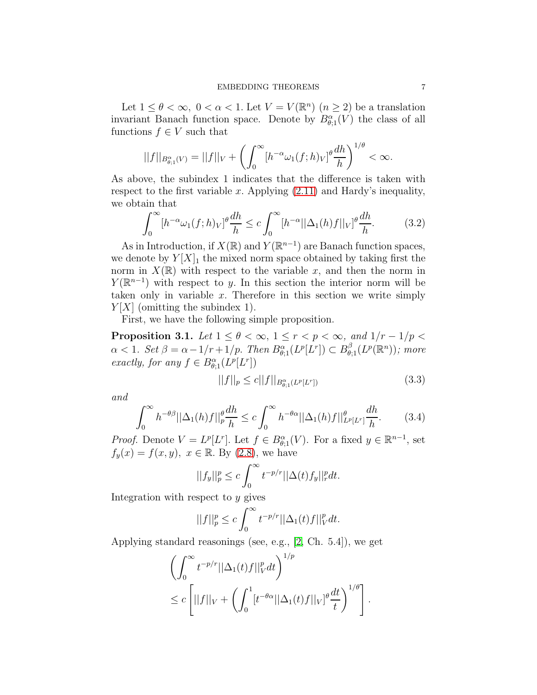Let  $1 \leq \theta < \infty$ ,  $0 < \alpha < 1$ . Let  $V = V(\mathbb{R}^n)$   $(n \geq 2)$  be a translation invariant Banach function space. Denote by  $B^{\alpha}_{\theta;1}(V)$  the class of all functions  $f \in V$  such that

$$
||f||_{B^{\alpha}_{\theta;1}(V)}=||f||_V+\left(\int_0^{\infty}[h^{-\alpha}\omega_1(f;h)_V]^{\theta}\frac{dh}{h}\right)^{1/\theta}<\infty.
$$

As above, the subindex 1 indicates that the difference is taken with respect to the first variable x. Applying  $(2.11)$  and Hardy's inequality, we obtain that

<span id="page-6-2"></span>
$$
\int_0^\infty [h^{-\alpha}\omega_1(f;h)_V]^{\theta} \frac{dh}{h} \le c \int_0^\infty [h^{-\alpha}||\Delta_1(h)f||_V]^{\theta} \frac{dh}{h}.
$$
 (3.2)

As in Introduction, if  $X(\mathbb{R})$  and  $Y(\mathbb{R}^{n-1})$  are Banach function spaces, we denote by  $Y[X]_1$  the mixed norm space obtained by taking first the norm in  $X(\mathbb{R})$  with respect to the variable x, and then the norm in  $Y(\mathbb{R}^{n-1})$  with respect to y. In this section the interior norm will be taken only in variable  $x$ . Therefore in this section we write simply  $Y|X|$  (omitting the subindex 1).

First, we have the following simple proposition.

<span id="page-6-3"></span>**Proposition 3.1.** Let  $1 \leq \theta < \infty$ ,  $1 \leq r < p < \infty$ , and  $1/r - 1/p <$  $\alpha < 1.$  Set  $\beta = \alpha - 1/r + 1/p$ . Then  $B_{\theta;1}^{\alpha}(L^p[L^r]) \subset B_{\theta;1}^{\beta}(L^p(\mathbb{R}^n))$ ; more exactly, for any  $f \in B^{\alpha}_{\theta;1}(L^p[L^r])$ 

<span id="page-6-0"></span>
$$
||f||_p \le c||f||_{B^{\alpha}_{\theta;1}(L^p[L^r])}
$$
\n(3.3)

and

<span id="page-6-1"></span>
$$
\int_0^\infty h^{-\theta\beta} ||\Delta_1(h)f||_p^\theta \frac{dh}{h} \le c \int_0^\infty h^{-\theta\alpha} ||\Delta_1(h)f||_{L^p[L^r]}^\theta \frac{dh}{h}.\tag{3.4}
$$

*Proof.* Denote  $V = L^p[L^r]$ . Let  $f \in B^{\alpha}_{\theta,1}(V)$ . For a fixed  $y \in \mathbb{R}^{n-1}$ , set  $f_y(x) = f(x, y), x \in \mathbb{R}$ . By [\(2.8\)](#page-4-0), we have

$$
||f_y||_p^p \le c \int_0^\infty t^{-p/r} ||\Delta(t) f_y||_r^p dt.
$$

Integration with respect to  $y$  gives

$$
||f||_{p}^{p} \leq c \int_{0}^{\infty} t^{-p/r} ||\Delta_{1}(t)f||_{V}^{p} dt.
$$

Applying standard reasonings (see, e.g., [\[2,](#page-25-1) Ch. 5.4]), we get

$$
\left(\int_0^\infty t^{-p/r} ||\Delta_1(t)f||_V^p dt\right)^{1/p}
$$
  
\n
$$
\leq c \left[||f||_V + \left(\int_0^1 [t^{-\theta\alpha} ||\Delta_1(t)f||_V]^{\theta} \frac{dt}{t}\right)^{1/\theta}\right].
$$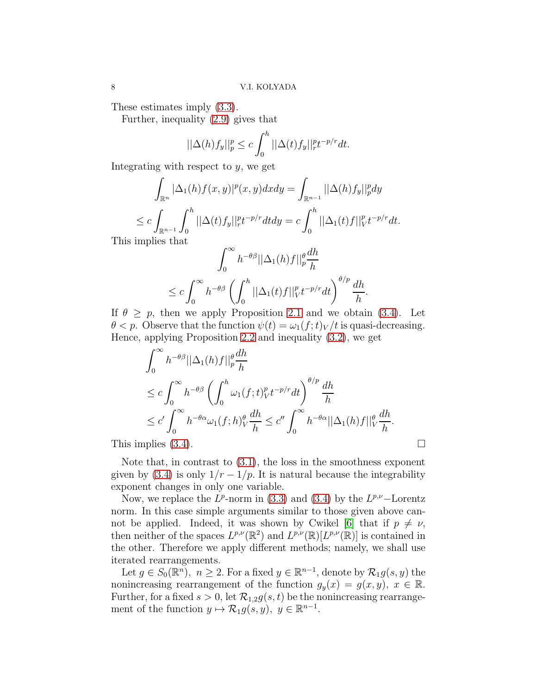These estimates imply [\(3.3\)](#page-6-0).

Further, inequality [\(2.9\)](#page-4-1) gives that

$$
||\Delta(h)f_y||_p^p \le c \int_0^h ||\Delta(t)f_y||_r^{p} t^{-p/r} dt.
$$

Integrating with respect to  $y$ , we get

$$
\int_{\mathbb{R}^n} |\Delta_1(h)f(x,y)|^p(x,y)dxdy = \int_{\mathbb{R}^{n-1}} ||\Delta(h)f_y||_p^p dy
$$
  
\n
$$
\leq c \int_{\mathbb{R}^{n-1}} \int_0^h ||\Delta(t)f_y||_p^p t^{-p/r} dt dy = c \int_0^h ||\Delta_1(t)f||_V^p t^{-p/r} dt.
$$

This implies that

$$
\int_0^\infty h^{-\theta\beta} ||\Delta_1(h)f||_p^{\theta} \frac{dh}{h}
$$
  
\n
$$
\leq c \int_0^\infty h^{-\theta\beta} \left( \int_0^h ||\Delta_1(t)f||_V^p t^{-p/r} dt \right)^{\theta/p} \frac{dh}{h}.
$$

If  $\theta \geq p$ , then we apply Proposition [2.1](#page-3-0) and we obtain [\(3.4\)](#page-6-1). Let  $\theta < p$ . Observe that the function  $\psi(t) = \omega_1(f; t)_V/t$  is quasi-decreasing. Hence, applying Proposition [2.2](#page-4-4) and inequality [\(3.2\)](#page-6-2), we get

$$
\int_0^\infty h^{-\theta\beta} ||\Delta_1(h)f||_p^{\theta} \frac{dh}{h}
$$
  
\n
$$
\leq c \int_0^\infty h^{-\theta\beta} \left( \int_0^h \omega_1(f;t)_{V}^p t^{-p/r} dt \right)^{\theta/p} \frac{dh}{h}
$$
  
\n
$$
\leq c' \int_0^\infty h^{-\theta\alpha} \omega_1(f;h)_V^{\theta} \frac{dh}{h} \leq c'' \int_0^\infty h^{-\theta\alpha} ||\Delta_1(h)f||_V^{\theta} \frac{dh}{h}.
$$

This implies  $(3.4)$ .

Note that, in contrast to [\(3.1\)](#page-5-1), the loss in the smoothness exponent given by [\(3.4\)](#page-6-1) is only  $1/r - 1/p$ . It is natural because the integrability exponent changes in only one variable.

Now, we replace the  $L^p$ -norm in [\(3.3\)](#page-6-0) and [\(3.4\)](#page-6-1) by the  $L^{p,\nu}$ -Lorentz norm. In this case simple arguments similar to those given above can-not be applied. Indeed, it was shown by Cwikel [\[6\]](#page-26-14) that if  $p \neq \nu$ , then neither of the spaces  $L^{p,\nu}(\mathbb{R}^2)$  and  $L^{p,\nu}(\mathbb{R})[L^{p,\nu}(\mathbb{R})]$  is contained in the other. Therefore we apply different methods; namely, we shall use iterated rearrangements.

Let  $g \in S_0(\mathbb{R}^n)$ ,  $n \geq 2$ . For a fixed  $y \in \mathbb{R}^{n-1}$ , denote by  $\mathcal{R}_1 g(s, y)$  the nonincreasing rearrangement of the function  $g_y(x) = g(x, y)$ ,  $x \in \mathbb{R}$ . Further, for a fixed  $s > 0$ , let  $\mathcal{R}_{1,2}g(s,t)$  be the nonincreasing rearrangement of the function  $y \mapsto \mathcal{R}_1 g(s, y), \ y \in \mathbb{R}^{n-1}$ .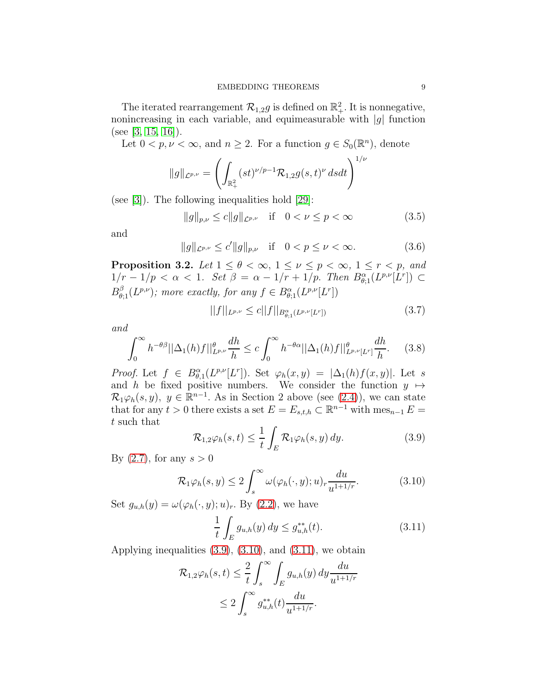The iterated rearrangement  $\mathcal{R}_{1,2}g$  is defined on  $\mathbb{R}^2_+$ . It is nonnegative, nonincreasing in each variable, and equimeasurable with  $|g|$  function (see [\[3,](#page-25-2) [15,](#page-26-15) [16\]](#page-26-12)).

Let  $0 < p, \nu < \infty$ , and  $n \ge 2$ . For a function  $g \in S_0(\mathbb{R}^n)$ , denote

$$
||g||_{\mathcal{L}^{p,\nu}} = \left(\int_{\mathbb{R}^2_+} (st)^{\nu/p-1} \mathcal{R}_{1,2} g(s,t)^{\nu} dsdt\right)^{1/\nu}
$$

(see [\[3\]](#page-25-2)). The following inequalities hold [\[29\]](#page-27-4):

<span id="page-8-4"></span>
$$
||g||_{p,\nu} \le c||g||_{\mathcal{L}^{p,\nu}} \quad \text{if} \quad 0 < \nu \le p < \infty \tag{3.5}
$$

and

$$
||g||_{\mathcal{L}^{p,\nu}} \le c'||g||_{p,\nu} \quad \text{if} \quad 0 < p \le \nu < \infty. \tag{3.6}
$$

<span id="page-8-6"></span>**Proposition 3.2.** Let  $1 \leq \theta < \infty$ ,  $1 \leq \nu \leq p < \infty$ ,  $1 \leq r < p$ , and 1/r − 1/p < α < 1. Set β = α − 1/r + 1/p. Then  $B^{\alpha}_{\theta;1}(L^{p,\nu}[L^r]) \subset$  $B_{\theta;1}^{\beta}(L^{p,\nu});$  more exactly, for any  $f \in B_{\theta;1}^{\alpha}(L^{p,\nu}[L^r])$ 

<span id="page-8-5"></span>
$$
||f||_{L^{p,\nu}} \le c||f||_{B^{\alpha}_{\theta;1}(L^{p,\nu}[L^r])}
$$
\n(3.7)

and

<span id="page-8-3"></span>
$$
\int_0^\infty h^{-\theta\beta} ||\Delta_1(h)f||_{L^{p,\nu}}^\theta \frac{dh}{h} \le c \int_0^\infty h^{-\theta\alpha} ||\Delta_1(h)f||_{L^{p,\nu}[L^r]}^\theta \frac{dh}{h}.\tag{3.8}
$$

*Proof.* Let  $f \in B^{\alpha}_{\theta,1}(L^{p,\nu}[L^r])$ . Set  $\varphi_h(x,y) = |\Delta_1(h)f(x,y)|$ . Let s and h be fixed positive numbers. We consider the function  $y \mapsto$  $\mathcal{R}_1\varphi_h(s, y), y \in \mathbb{R}^{n-1}$ . As in Section 2 above (see [\(2.4\)](#page-3-1)), we can state that for any  $t > 0$  there exists a set  $E = E_{s,t,h} \subset \mathbb{R}^{n-1}$  with  $\text{mes}_{n-1} E =$ t such that

<span id="page-8-0"></span>
$$
\mathcal{R}_{1,2}\varphi_h(s,t) \leq \frac{1}{t} \int_E \mathcal{R}_1 \varphi_h(s,y) \, dy. \tag{3.9}
$$

By  $(2.7)$ , for any  $s > 0$ 

<span id="page-8-1"></span>
$$
\mathcal{R}_1 \varphi_h(s, y) \le 2 \int_s^\infty \omega(\varphi_h(\cdot, y); u)_r \frac{du}{u^{1+1/r}}.
$$
\n(3.10)

Set  $g_{u,h}(y) = \omega(\varphi_h(\cdot, y); u)_r$ . By [\(2.2\)](#page-3-2), we have

<span id="page-8-2"></span>
$$
\frac{1}{t} \int_{E} g_{u,h}(y) \, dy \le g_{u,h}^{**}(t). \tag{3.11}
$$

Applying inequalities  $(3.9)$ ,  $(3.10)$ , and  $(3.11)$ , we obtain

$$
\mathcal{R}_{1,2}\varphi_h(s,t) \leq \frac{2}{t} \int_s^{\infty} \int_E g_{u,h}(y) dy \frac{du}{u^{1+1/r}}
$$
  

$$
\leq 2 \int_s^{\infty} g_{u,h}^{**}(t) \frac{du}{u^{1+1/r}}.
$$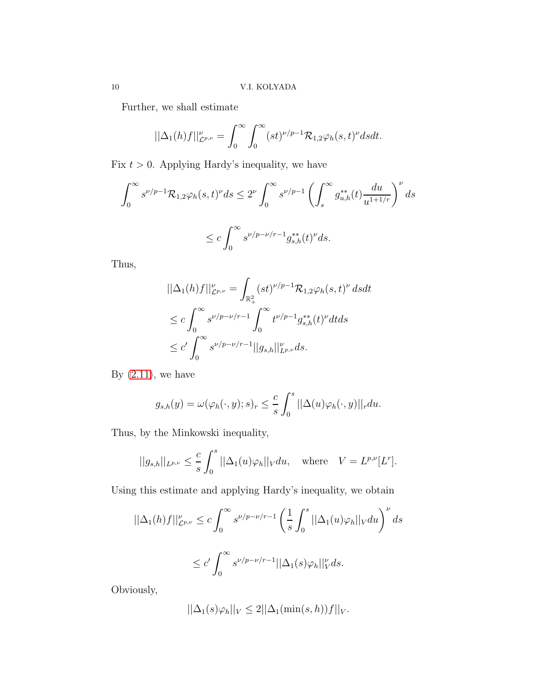Further, we shall estimate

$$
||\Delta_1(h)f||_{\mathcal{L}^{p,\nu}}^{\nu} = \int_0^{\infty} \int_0^{\infty} (st)^{\nu/p-1} \mathcal{R}_{1,2} \varphi_h(s,t)^{\nu} dsdt.
$$

Fix  $t > 0$ . Applying Hardy's inequality, we have

$$
\int_0^\infty s^{\nu/p-1} \mathcal{R}_{1,2} \varphi_h(s,t)^{\nu} ds \le 2^{\nu} \int_0^\infty s^{\nu/p-1} \left( \int_s^\infty g_{u,h}^{**}(t) \frac{du}{u^{1+1/r}} \right)^{\nu} ds
$$
  

$$
\le c \int_0^\infty s^{\nu/p-\nu/r-1} g_{s,h}^{**}(t)^{\nu} ds.
$$

Thus,

$$
\begin{aligned} &||\Delta_1(h)f||^{\nu}_{\mathcal{L}^{p,\nu}} = \int_{\mathbb{R}^2_+} (st)^{\nu/p-1} \mathcal{R}_{1,2} \varphi_h(s,t)^{\nu} \, dsdt \\ &\leq c \int_0^\infty s^{\nu/p-\nu/r-1} \int_0^\infty t^{\nu/p-1} g^{**}_{s,h}(t)^{\nu} dtds \\ &\leq c' \int_0^\infty s^{\nu/p-\nu/r-1} ||g_{s,h}||^{\nu}_{L^{p,\nu}} ds. \end{aligned}
$$

By  $(2.11)$ , we have

$$
g_{s,h}(y) = \omega(\varphi_h(\cdot, y); s)_r \leq \frac{c}{s} \int_0^s ||\Delta(u)\varphi_h(\cdot, y)||_r du.
$$

Thus, by the Minkowski inequality,

$$
||g_{s,h}||_{L^{p,\nu}} \leq \frac{c}{s} \int_0^s ||\Delta_1(u)\varphi_h||_V du, \quad \text{where} \quad V = L^{p,\nu}[L^r].
$$

Using this estimate and applying Hardy's inequality, we obtain

$$
\begin{aligned} ||\Delta_1(h)f||^{\nu}_{\mathcal{L}^{p,\nu}} &\leq c\int_0^{\infty}s^{\nu/p-\nu/r-1}\left(\frac{1}{s}\int_0^s||\Delta_1(u)\varphi_h||_Vdu\right)^{\nu}ds\\ &\leq c'\int_0^{\infty}s^{\nu/p-\nu/r-1}||\Delta_1(s)\varphi_h||_V^{\nu}ds. \end{aligned}
$$

Obviously,

$$
||\Delta_1(s)\varphi_h||_V \le 2||\Delta_1(\min(s,h))f||_V.
$$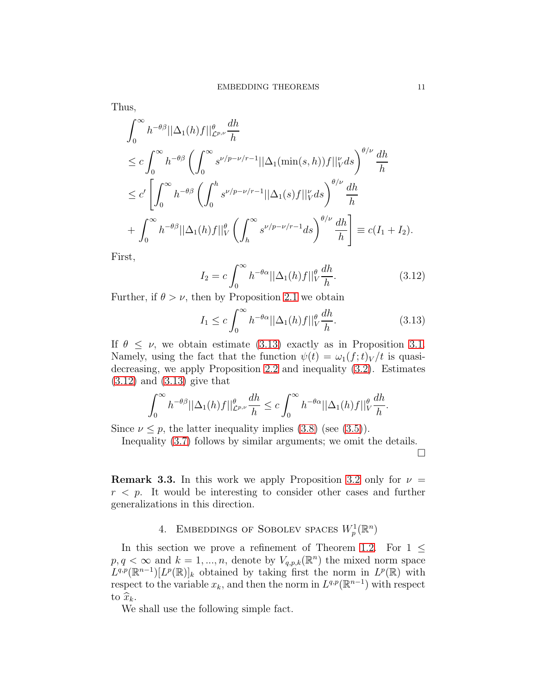Thus,

$$
\int_0^\infty h^{-\theta\beta} ||\Delta_1(h)f||_{\mathcal{L}^{p,\nu}}^{\theta} \frac{dh}{h}
$$
\n
$$
\leq c \int_0^\infty h^{-\theta\beta} \left( \int_0^\infty s^{\nu/p - \nu/r - 1} ||\Delta_1(\min(s, h))f||_V^{\nu} ds \right)^{\theta/\nu} \frac{dh}{h}
$$
\n
$$
\leq c' \left[ \int_0^\infty h^{-\theta\beta} \left( \int_0^h s^{\nu/p - \nu/r - 1} ||\Delta_1(s)f||_V^{\nu} ds \right)^{\theta/\nu} \frac{dh}{h}
$$
\n
$$
+ \int_0^\infty h^{-\theta\beta} ||\Delta_1(h)f||_V^{\theta} \left( \int_h^\infty s^{\nu/p - \nu/r - 1} ds \right)^{\theta/\nu} \frac{dh}{h} \right] \equiv c(I_1 + I_2).
$$

First,

<span id="page-10-1"></span>
$$
I_2 = c \int_0^\infty h^{-\theta\alpha} ||\Delta_1(h)f||_V^\theta \frac{dh}{h}.
$$
\n(3.12)

Further, if  $\theta > \nu$ , then by Proposition [2.1](#page-3-0) we obtain

<span id="page-10-0"></span>
$$
I_1 \le c \int_0^\infty h^{-\theta\alpha} ||\Delta_1(h)f||_V^\theta \frac{dh}{h}.\tag{3.13}
$$

If  $\theta \leq \nu$ , we obtain estimate [\(3.13\)](#page-10-0) exactly as in Proposition [3.1.](#page-6-3) Namely, using the fact that the function  $\psi(t) = \omega_1(f; t)_V / t$  is quasidecreasing, we apply Proposition [2.2](#page-4-4) and inequality [\(3.2\)](#page-6-2). Estimates [\(3.12\)](#page-10-1) and [\(3.13\)](#page-10-0) give that

$$
\int_0^\infty h^{-\theta\beta} ||\Delta_1(h)f||_{\mathcal{L}^{p,\nu}}^{\theta} \frac{dh}{h} \leq c \int_0^\infty h^{-\theta\alpha} ||\Delta_1(h)f||_{V}^{\theta} \frac{dh}{h}.
$$

Since  $\nu \leq p$ , the latter inequality implies [\(3.8\)](#page-8-3) (see [\(3.5\)](#page-8-4)).

Inequality [\(3.7\)](#page-8-5) follows by similar arguments; we omit the details.

 $\Box$ 

**Remark 3.3.** In this work we apply Proposition [3.2](#page-8-6) only for  $\nu =$  $r \leq p$ . It would be interesting to consider other cases and further generalizations in this direction.

# 4. EMBEDDINGS OF SOBOLEV SPACES  $W_p^1(\mathbb{R}^n)$

In this section we prove a refinement of Theorem [1.2.](#page-1-1) For  $1 \leq$  $p, q < \infty$  and  $k = 1, ..., n$ , denote by  $V_{q,p,k}(\mathbb{R}^n)$  the mixed norm space  $L^{q,p}(\mathbb{R}^{n-1})[L^p(\mathbb{R})]_k$  obtained by taking first the norm in  $L^p(\mathbb{R})$  with respect to the variable  $x_k$ , and then the norm in  $L^{q,p}(\mathbb{R}^{n-1})$  with respect to  $\widehat{x}_k$ .

We shall use the following simple fact.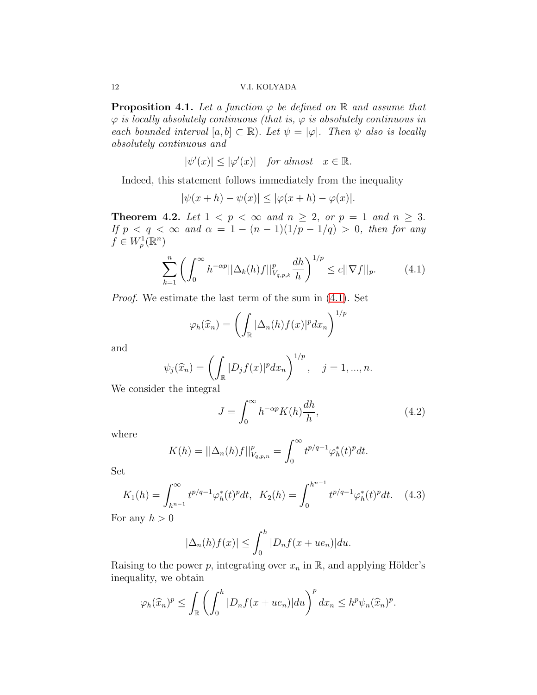<span id="page-11-2"></span>**Proposition 4.1.** Let a function  $\varphi$  be defined on  $\mathbb{R}$  and assume that  $\varphi$  is locally absolutely continuous (that is,  $\varphi$  is absolutely continuous in each bounded interval  $[a, b] \subset \mathbb{R}$ ). Let  $\psi = |\varphi|$ . Then  $\psi$  also is locally absolutely continuous and

$$
|\psi'(x)| \le |\varphi'(x)| \quad \text{for almost} \quad x \in \mathbb{R}.
$$

Indeed, this statement follows immediately from the inequality

$$
|\psi(x+h) - \psi(x)| \le |\varphi(x+h) - \varphi(x)|.
$$

<span id="page-11-4"></span>**Theorem 4.2.** Let  $1 < p < \infty$  and  $n \ge 2$ , or  $p = 1$  and  $n \ge 3$ . If  $p < q < \infty$  and  $\alpha = 1 - (n - 1)(1/p - 1/q) > 0$ , then for any  $f \in W_p^1(\mathbb{R}^n)$ 

<span id="page-11-0"></span>
$$
\sum_{k=1}^{n} \left( \int_{0}^{\infty} h^{-\alpha p} ||\Delta_{k}(h)f||_{V_{q,p,k}}^{p} \frac{dh}{h} \right)^{1/p} \leq c ||\nabla f||_{p}.
$$
 (4.1)

Proof. We estimate the last term of the sum in [\(4.1\)](#page-11-0). Set

$$
\varphi_h(\widehat{x}_n) = \left(\int_{\mathbb{R}} |\Delta_n(h)f(x)|^p dx_n\right)^{1/p}
$$

and

$$
\psi_j(\widehat{x}_n) = \left(\int_{\mathbb{R}} |D_j f(x)|^p dx_n\right)^{1/p}, \quad j = 1, ..., n.
$$

We consider the integral

<span id="page-11-3"></span>
$$
J = \int_0^\infty h^{-\alpha p} K(h) \frac{dh}{h},\tag{4.2}
$$

where

$$
K(h) = ||\Delta_n(h)f||_{V_{q,p,n}}^p = \int_0^\infty t^{p/q-1} \varphi_h^*(t)^p dt.
$$

Set

<span id="page-11-1"></span>
$$
K_1(h) = \int_{h^{n-1}}^{\infty} t^{p/q-1} \varphi_h^*(t)^p dt, \quad K_2(h) = \int_0^{h^{n-1}} t^{p/q-1} \varphi_h^*(t)^p dt. \quad (4.3)
$$

For any  $h > 0$ 

$$
|\Delta_n(h)f(x)| \le \int_0^h |D_n f(x + u e_n)| du.
$$

Raising to the power p, integrating over  $x_n$  in  $\mathbb{R}$ , and applying Hölder's inequality, we obtain

$$
\varphi_h(\widehat{x}_n)^p \le \int_{\mathbb{R}} \left( \int_0^h |D_n f(x + u e_n)| du \right)^p dx_n \le h^p \psi_n(\widehat{x}_n)^p.
$$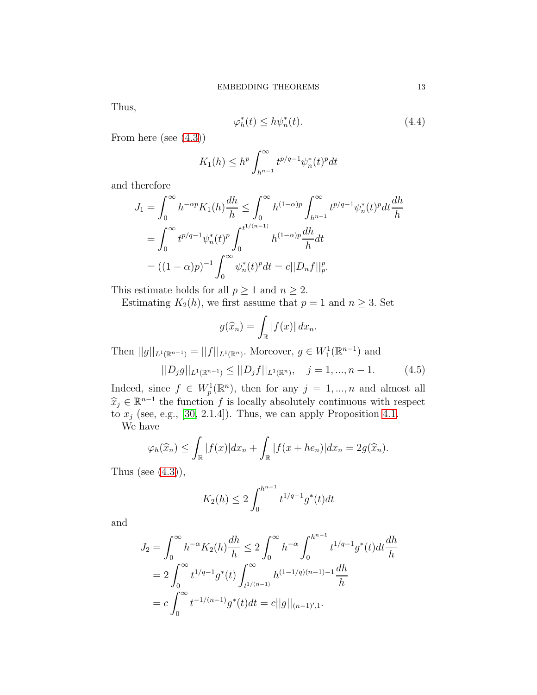Thus,

$$
\varphi_h^*(t) \le h \psi_n^*(t). \tag{4.4}
$$

From here (see [\(4.3\)](#page-11-1))

$$
K_1(h) \le h^p \int_{h^{n-1}}^{\infty} t^{p/q-1} \psi_n^*(t)^p dt
$$

and therefore

$$
J_1 = \int_0^\infty h^{-\alpha p} K_1(h) \frac{dh}{h} \le \int_0^\infty h^{(1-\alpha)p} \int_{h^{n-1}}^\infty t^{p/q-1} \psi_n^*(t)^p dt \frac{dh}{h}
$$
  
= 
$$
\int_0^\infty t^{p/q-1} \psi_n^*(t)^p \int_0^{t^{1/(n-1)}} h^{(1-\alpha)p} \frac{dh}{h} dt
$$
  
= 
$$
((1-\alpha)p)^{-1} \int_0^\infty \psi_n^*(t)^p dt = c ||D_n f||_p^p.
$$

This estimate holds for all  $p \geq 1$  and  $n \geq 2$ .

Estimating  $K_2(h)$ , we first assume that  $p = 1$  and  $n \geq 3$ . Set

$$
g(\widehat{x}_n) = \int_{\mathbb{R}} |f(x)| dx_n.
$$

Then  $||g||_{L^1(\mathbb{R}^{n-1})} = ||f||_{L^1(\mathbb{R}^n)}$ . Moreover,  $g \in W_1^1(\mathbb{R}^{n-1})$  and

<span id="page-12-0"></span>
$$
||D_j g||_{L^1(\mathbb{R}^{n-1})} \le ||D_j f||_{L^1(\mathbb{R}^n)}, \quad j = 1, ..., n-1.
$$
 (4.5)

Indeed, since  $f \in W_p^1(\mathbb{R}^n)$ , then for any  $j = 1, ..., n$  and almost all  $\hat{x}_j \in \mathbb{R}^{n-1}$  the function f is locally absolutely continuous with respect<br>the  $\hat{x}_j \in \mathbb{R}^{n-1}$  (200, 2.1.4)). Thus we can early Preparation 4.1 to  $x_j$  (see, e.g., [\[30,](#page-27-5) 2.1.4]). Thus, we can apply Proposition [4.1.](#page-11-2)

We have

$$
\varphi_h(\widehat{x}_n) \le \int_{\mathbb{R}} |f(x)| dx_n + \int_{\mathbb{R}} |f(x + he_n)| dx_n = 2g(\widehat{x}_n).
$$

Thus (see  $(4.3)$ ),

$$
K_2(h) \le 2 \int_0^{h^{n-1}} t^{1/q-1} g^*(t) dt
$$

and

$$
J_2 = \int_0^\infty h^{-\alpha} K_2(h) \frac{dh}{h} \le 2 \int_0^\infty h^{-\alpha} \int_0^{h^{n-1}} t^{1/q-1} g^*(t) dt \frac{dh}{h}
$$
  
=  $2 \int_0^\infty t^{1/q-1} g^*(t) \int_{t^{1/(n-1)}}^\infty h^{(1-1/q)(n-1)-1} \frac{dh}{h}$   
=  $c \int_0^\infty t^{-1/(n-1)} g^*(t) dt = c ||g||_{(n-1)',1}.$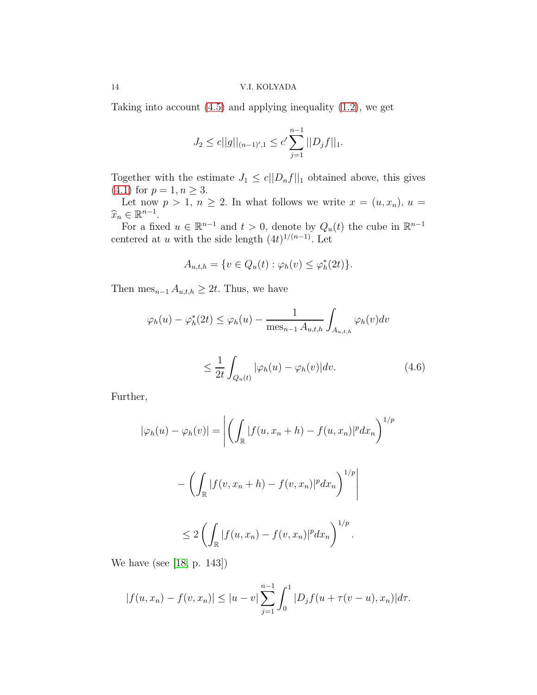### 14 V.I. KOLYADA

Taking into account [\(4.5\)](#page-12-0) and applying inequality [\(1.2\)](#page-0-2), we get

$$
J_2 \le c||g||_{(n-1)',1} \le c' \sum_{j=1}^{n-1} ||D_j f||_1.
$$

Together with the estimate  $J_1 \le c||D_nf||_1$  obtained above, this gives (4.1) for  $p = 1, n \ge 3$ .  $(4.1)$  for  $p = 1, n \geq 3$ .

Let now  $p > 1$ ,  $n \geq 2$ . In what follows we write  $x = (u, x_n)$ ,  $u =$  $\widehat{x}_n \in \mathbb{R}^{n-1}$ .<br>Exp. 6.

For a fixed  $u \in \mathbb{R}^{n-1}$  and  $t > 0$ , denote by  $Q_u(t)$  the cube in  $\mathbb{R}^{n-1}$ centered at u with the side length  $(4t)^{1/(n-1)}$ . Let

$$
A_{u,t,h} = \{v \in Q_u(t) : \varphi_h(v) \le \varphi_h^*(2t)\}.
$$

Then mes<sub>n−1</sub>  $A_{u,t,h} \geq 2t$ . Thus, we have

$$
\varphi_h(u) - \varphi_h^*(2t) \le \varphi_h(u) - \frac{1}{\operatorname{mes}_{n-1} A_{u,t,h}} \int_{A_{u,t,h}} \varphi_h(v) dv
$$

<span id="page-13-0"></span>
$$
\leq \frac{1}{2t} \int_{Q_u(t)} |\varphi_h(u) - \varphi_h(v)| dv. \tag{4.6}
$$

Further,

$$
|\varphi_h(u) - \varphi_h(v)| = \left| \left( \int_{\mathbb{R}} |f(u, x_n + h) - f(u, x_n)|^p dx_n \right)^{1/p} \right|
$$

$$
-\left(\int_{\mathbb{R}}|f(v,x_n+h)-f(v,x_n)|^pdx_n\right)^{1/p}
$$
  

$$
\leq 2\left(\int_{\mathbb{R}}|f(u,x_n)-f(v,x_n)|^pdx_n\right)^{1/p}.
$$

We have (see [\[18,](#page-26-16) p. 143])

$$
|f(u, x_n) - f(v, x_n)| \le |u - v| \sum_{j=1}^{n-1} \int_0^1 |D_j f(u + \tau(v - u), x_n)| d\tau.
$$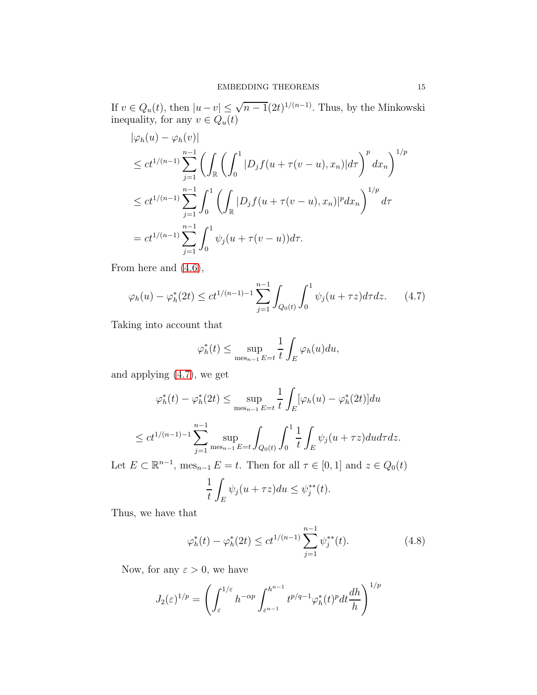If  $v \in Q_u(t)$ , then  $|u - v| \leq \sqrt{n-1}(2t)^{1/(n-1)}$ . Thus, by the Minkowski inequality, for any  $v \in Q_u(t)$ 

$$
\begin{split}\n|\varphi_h(u) - \varphi_h(v)| \\
&\le ct^{1/(n-1)} \sum_{j=1}^{n-1} \left( \int_{\mathbb{R}} \left( \int_0^1 |D_j f(u + \tau(v - u), x_n)| d\tau \right)^p dx_n \right)^{1/p} \\
&\le ct^{1/(n-1)} \sum_{j=1}^{n-1} \int_0^1 \left( \int_{\mathbb{R}} |D_j f(u + \tau(v - u), x_n)|^p dx_n \right)^{1/p} d\tau \\
&= ct^{1/(n-1)} \sum_{j=1}^{n-1} \int_0^1 \psi_j(u + \tau(v - u)) d\tau.\n\end{split}
$$

From here and [\(4.6\)](#page-13-0),

<span id="page-14-0"></span>
$$
\varphi_h(u) - \varphi_h^*(2t) \le ct^{1/(n-1)-1} \sum_{j=1}^{n-1} \int_{Q_0(t)} \int_0^1 \psi_j(u+\tau z) d\tau dz. \tag{4.7}
$$

Taking into account that

$$
\varphi_h^*(t) \le \sup_{\text{mes}_{n-1} \, E = t} \frac{1}{t} \int_E \varphi_h(u) du,
$$

and applying [\(4.7\)](#page-14-0), we get

$$
\varphi_h^*(t) - \varphi_h^*(2t) \le \sup_{\text{mes}_{n-1} \to t} \frac{1}{t} \int_E [\varphi_h(u) - \varphi_h^*(2t)] du
$$
  

$$
\le ct^{1/(n-1)-1} \sum_{j=1}^{n-1} \sup_{\text{mes}_{n-1} \to t} \int_{Q_0(t)} \int_0^1 \frac{1}{t} \int_E \psi_j(u+\tau z) du d\tau dz.
$$

Let  $E \subset \mathbb{R}^{n-1}$ ,  $\text{mes}_{n-1} E = t$ . Then for all  $\tau \in [0, 1]$  and  $z \in Q_0(t)$ 

$$
\frac{1}{t} \int_{E} \psi_j(u + \tau z) du \le \psi_j^{**}(t).
$$

Thus, we have that

<span id="page-14-1"></span>
$$
\varphi_h^*(t) - \varphi_h^*(2t) \le ct^{1/(n-1)} \sum_{j=1}^{n-1} \psi_j^{**}(t). \tag{4.8}
$$

Now, for any  $\varepsilon > 0$ , we have

$$
J_2(\varepsilon)^{1/p} = \left(\int_{\varepsilon}^{1/\varepsilon} h^{-\alpha p} \int_{\varepsilon^{n-1}}^{h^{n-1}} t^{p/q-1} \varphi_h^*(t)^p dt \frac{dh}{h}\right)^{1/p}
$$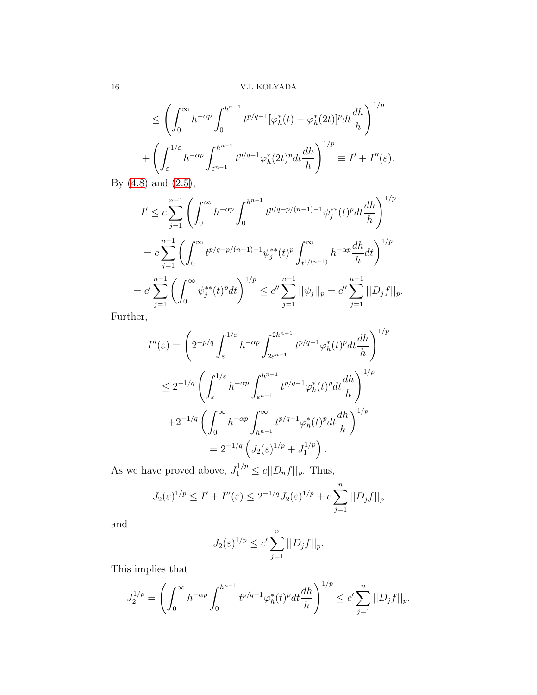16 V.I. KOLYADA

$$
\leq \left(\int_0^\infty h^{-\alpha p} \int_0^{h^{n-1}} t^{p/q-1} [\varphi_h^*(t) - \varphi_h^*(2t)]^p dt \frac{dh}{h}\right)^{1/p}
$$
  
+ 
$$
\left(\int_{\varepsilon}^{1/\varepsilon} h^{-\alpha p} \int_{\varepsilon^{n-1}}^{h^{n-1}} t^{p/q-1} \varphi_h^*(2t)^p dt \frac{dh}{h}\right)^{1/p} \equiv I' + I''(\varepsilon).
$$

By [\(4.8\)](#page-14-1) and [\(2.5\)](#page-3-3),

$$
I' \leq c \sum_{j=1}^{n-1} \left( \int_0^{\infty} h^{-\alpha p} \int_0^{h^{n-1}} t^{p/q+p/(n-1)-1} \psi_j^{**}(t)^p dt \frac{dh}{h} \right)^{1/p}
$$
  
=  $c \sum_{j=1}^{n-1} \left( \int_0^{\infty} t^{p/q+p/(n-1)-1} \psi_j^{**}(t)^p \int_{t^{1/(n-1)}}^{\infty} h^{-\alpha p} \frac{dh}{h} dt \right)^{1/p}$   
=  $c' \sum_{j=1}^{n-1} \left( \int_0^{\infty} \psi_j^{**}(t)^p dt \right)^{1/p} \leq c'' \sum_{j=1}^{n-1} ||\psi_j||_p = c'' \sum_{j=1}^{n-1} ||D_j f||_p.$ 

Further,

$$
I''(\varepsilon) = \left(2^{-p/q} \int_{\varepsilon}^{1/\varepsilon} h^{-\alpha p} \int_{2\varepsilon^{n-1}}^{2h^{n-1}} t^{p/q-1} \varphi_h^*(t)^p dt \frac{dh}{h} \right)^{1/p}
$$
  

$$
\leq 2^{-1/q} \left( \int_{\varepsilon}^{1/\varepsilon} h^{-\alpha p} \int_{\varepsilon^{n-1}}^{h^{n-1}} t^{p/q-1} \varphi_h^*(t)^p dt \frac{dh}{h} \right)^{1/p}
$$
  

$$
+ 2^{-1/q} \left( \int_0^{\infty} h^{-\alpha p} \int_{h^{n-1}}^{\infty} t^{p/q-1} \varphi_h^*(t)^p dt \frac{dh}{h} \right)^{1/p}
$$
  

$$
= 2^{-1/q} \left( J_2(\varepsilon)^{1/p} + J_1^{1/p} \right).
$$

As we have proved above,  $J_1^{1/p} \le c ||D_n f||_p$ . Thus,

$$
J_2(\varepsilon)^{1/p} \le I' + I''(\varepsilon) \le 2^{-1/q} J_2(\varepsilon)^{1/p} + c \sum_{j=1}^n ||D_j f||_p
$$

and

$$
J_2(\varepsilon)^{1/p} \le c' \sum_{j=1}^n ||D_j f||_p.
$$

This implies that

$$
J_2^{1/p} = \left(\int_0^\infty h^{-\alpha p} \int_0^{h^{n-1}} t^{p/q-1} \varphi_h^*(t)^p dt \frac{dh}{h}\right)^{1/p} \le c' \sum_{j=1}^n ||D_j f||_p.
$$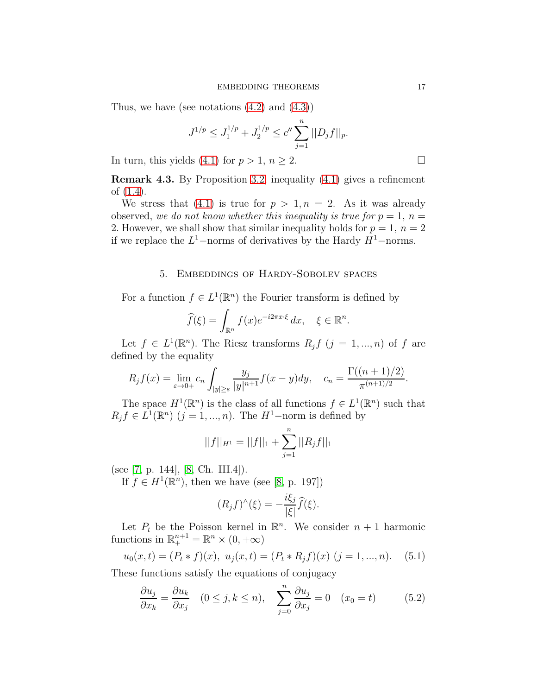Thus, we have (see notations  $(4.2)$  and  $(4.3)$ )

$$
J^{1/p} \le J_1^{1/p} + J_2^{1/p} \le c'' \sum_{j=1}^n ||D_j f||_p.
$$

In turn, this yields [\(4.1\)](#page-11-0) for  $p > 1$ ,  $n \ge 2$ .

Remark 4.3. By Proposition [3.2,](#page-8-6) inequality [\(4.1\)](#page-11-0) gives a refinement of [\(1.4\)](#page-1-0).

We stress that [\(4.1\)](#page-11-0) is true for  $p > 1, n = 2$ . As it was already observed, we do not know whether this inequality is true for  $p = 1$ ,  $n =$ 2. However, we shall show that similar inequality holds for  $p = 1$ ,  $n = 2$ if we replace the  $L^1$ -norms of derivatives by the Hardy  $H^1$ -norms.

### 5. Embeddings of Hardy-Sobolev spaces

For a function  $f \in L^1(\mathbb{R}^n)$  the Fourier transform is defined by

$$
\widehat{f}(\xi) = \int_{\mathbb{R}^n} f(x)e^{-i2\pi x \cdot \xi} dx, \quad \xi \in \mathbb{R}^n.
$$

Let  $f \in L^1(\mathbb{R}^n)$ . The Riesz transforms  $R_j f$   $(j = 1, ..., n)$  of f are defined by the equality

$$
R_j f(x) = \lim_{\varepsilon \to 0+} c_n \int_{|y| \ge \varepsilon} \frac{y_j}{|y|^{n+1}} f(x - y) dy, \quad c_n = \frac{\Gamma((n+1)/2)}{\pi^{(n+1)/2}}.
$$

The space  $H^1(\mathbb{R}^n)$  is the class of all functions  $f \in L^1(\mathbb{R}^n)$  such that  $R_j f \in L^1(\mathbb{R}^n)$   $(j = 1, ..., n)$ . The  $H^1$ -norm is defined by

$$
||f||_{H^1} = ||f||_1 + \sum_{j=1}^n ||R_j f||_1
$$

(see [\[7,](#page-26-17) p. 144], [\[8,](#page-26-18) Ch. III.4]).

If  $f \in H^1(\mathbb{R}^n)$ , then we have (see [\[8,](#page-26-18) p. 197])

$$
(R_j f)^\wedge(\xi) = -\frac{i\xi_j}{|\xi|} \widehat{f}(\xi).
$$

Let  $P_t$  be the Poisson kernel in  $\mathbb{R}^n$ . We consider  $n+1$  harmonic functions in  $\mathbb{R}^{n+1}_+ = \mathbb{R}^n \times (0, +\infty)$ 

$$
u_0(x,t) = (P_t * f)(x), \ u_j(x,t) = (P_t * R_j f)(x) \ (j = 1, ..., n). \tag{5.1}
$$

These functions satisfy the equations of conjugacy

<span id="page-16-0"></span>
$$
\frac{\partial u_j}{\partial x_k} = \frac{\partial u_k}{\partial x_j} \quad (0 \le j, k \le n), \quad \sum_{j=0}^n \frac{\partial u_j}{\partial x_j} = 0 \quad (x_0 = t) \tag{5.2}
$$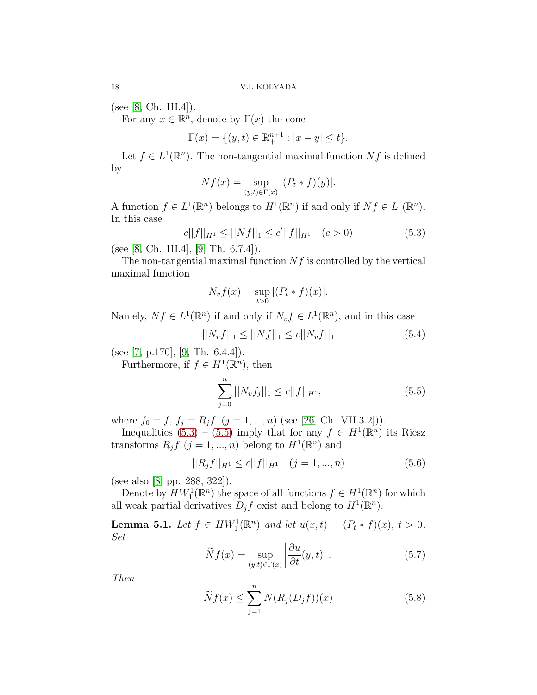(see [\[8,](#page-26-18) Ch. III.4]).

For any  $x \in \mathbb{R}^n$ , denote by  $\Gamma(x)$  the cone

$$
\Gamma(x) = \{(y, t) \in \mathbb{R}^{n+1}_+ : |x - y| \le t\}.
$$

Let  $f \in L^1(\mathbb{R}^n)$ . The non-tangential maximal function  $Nf$  is defined by

$$
Nf(x) = \sup_{(y,t)\in\Gamma(x)} |(P_t * f)(y)|.
$$

A function  $f \in L^1(\mathbb{R}^n)$  belongs to  $H^1(\mathbb{R}^n)$  if and only if  $Nf \in L^1(\mathbb{R}^n)$ . In this case

<span id="page-17-0"></span>
$$
c||f||_{H^1} \le ||Nf||_1 \le c'||f||_{H^1} \quad (c > 0)
$$
\n(5.3)

(see [\[8,](#page-26-18) Ch. III.4],  $[9, Th. 6.7.4]$ ).

The non-tangential maximal function  $Nf$  is controlled by the vertical maximal function

$$
N_v f(x) = \sup_{t>0} |(P_t * f)(x)|.
$$

Namely,  $Nf \in L^1(\mathbb{R}^n)$  if and only if  $N_v f \in L^1(\mathbb{R}^n)$ , and in this case

$$
||N_v f||_1 \le ||Nf||_1 \le c||N_v f||_1 \tag{5.4}
$$

(see [\[7,](#page-26-17) p.170], [\[9,](#page-26-19) Th. 6.4.4]).

Furthermore, if  $f \in H^1(\mathbb{R}^n)$ , then

<span id="page-17-1"></span>
$$
\sum_{j=0}^{n} ||N_v f_j||_1 \le c ||f||_{H^1},
$$
\n(5.5)

where  $f_0 = f, f_j = R_j f \ (j = 1, ..., n)$  (see [\[26,](#page-27-0) Ch. VII.3.2])).

Inequalities [\(5.3\)](#page-17-0) – [\(5.5\)](#page-17-1) imply that for any  $f \in H^1(\mathbb{R}^n)$  its Riesz transforms  $R_j f$   $(j = 1, ..., n)$  belong to  $H^1(\mathbb{R}^n)$  and

<span id="page-17-3"></span>
$$
||R_j f||_{H^1} \le c||f||_{H^1} \quad (j = 1, ..., n)
$$
\n(5.6)

(see also [\[8,](#page-26-18) pp. 288, 322]).

Denote by  $HW_1^1(\mathbb{R}^n)$  the space of all functions  $f \in H^1(\mathbb{R}^n)$  for which all weak partial derivatives  $D_j f$  exist and belong to  $H^1(\mathbb{R}^n)$ .

**Lemma 5.1.** Let  $f \in HW_1^1(\mathbb{R}^n)$  and let  $u(x,t) = (P_t * f)(x), t > 0$ . Set

<span id="page-17-4"></span>
$$
\widetilde{N}f(x) = \sup_{(y,t)\in\Gamma(x)} \left| \frac{\partial u}{\partial t}(y,t) \right|.
$$
\n(5.7)

Then

<span id="page-17-2"></span>
$$
\widetilde{N}f(x) \le \sum_{j=1}^{n} N(R_j(D_j f))(x) \tag{5.8}
$$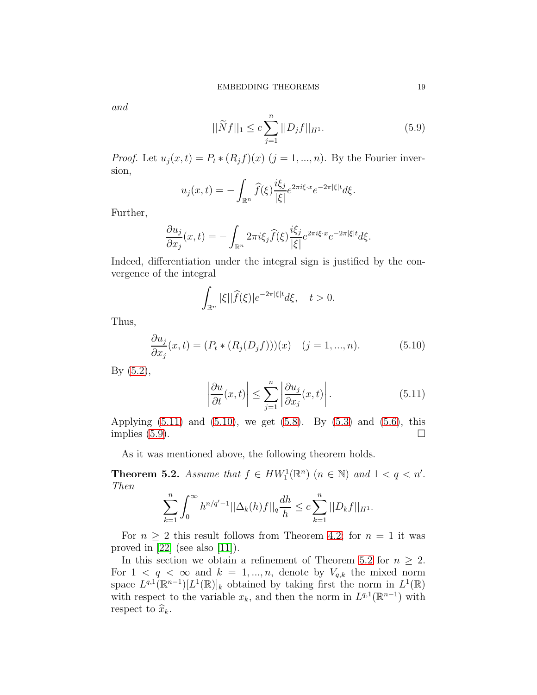and

<span id="page-18-2"></span>
$$
||\widetilde{N}f||_1 \le c \sum_{j=1}^n ||D_j f||_{H^1}.
$$
\n(5.9)

*Proof.* Let  $u_j(x,t) = P_t * (R_j f)(x)$   $(j = 1, ..., n)$ . By the Fourier inversion,

$$
u_j(x,t) = -\int_{\mathbb{R}^n} \widehat{f}(\xi) \frac{i\xi_j}{|\xi|} e^{2\pi i \xi \cdot x} e^{-2\pi |\xi| t} d\xi.
$$

Further,

$$
\frac{\partial u_j}{\partial x_j}(x,t)=-\int_{\mathbb{R}^n}2\pi i\xi_j\widehat{f}(\xi)\frac{i\xi_j}{|\xi|}e^{2\pi i\xi\cdot x}e^{-2\pi|\xi|t}d\xi.
$$

Indeed, differentiation under the integral sign is justified by the convergence of the integral

$$
\int_{\mathbb{R}^n} |\xi| |\widehat{f}(\xi)| e^{-2\pi |\xi| t} d\xi, \quad t > 0.
$$

Thus,

<span id="page-18-1"></span>
$$
\frac{\partial u_j}{\partial x_j}(x,t) = (P_t * (R_j(D_j f)))(x) \quad (j = 1, ..., n). \tag{5.10}
$$

By [\(5.2\)](#page-16-0),

<span id="page-18-0"></span>
$$
\left|\frac{\partial u}{\partial t}(x,t)\right| \le \sum_{j=1}^{n} \left|\frac{\partial u_j}{\partial x_j}(x,t)\right|.
$$
\n(5.11)

Applying  $(5.11)$  and  $(5.10)$ , we get  $(5.8)$ . By  $(5.3)$  and  $(5.6)$ , this implies  $(5.9)$ .

As it was mentioned above, the following theorem holds.

<span id="page-18-3"></span>**Theorem 5.2.** Assume that  $f \in HW_1^1(\mathbb{R}^n)$   $(n \in \mathbb{N})$  and  $1 < q < n'$ . Then

$$
\sum_{k=1}^n \int_0^\infty h^{n/q'-1} ||\Delta_k(h)f||_q \frac{dh}{h} \le c \sum_{k=1}^n ||D_kf||_{H^1}.
$$

For  $n \geq 2$  this result follows from Theorem [4.2;](#page-11-4) for  $n = 1$  it was proved in  $[22]$  (see also  $[11]$ ).

In this section we obtain a refinement of Theorem [5.2](#page-18-3) for  $n \geq 2$ . For  $1 \le q \le \infty$  and  $k = 1, ..., n$ , denote by  $V_{q,k}$  the mixed norm space  $L^{q,1}(\mathbb{R}^{n-1})[L^1(\mathbb{R})]_k$  obtained by taking first the norm in  $L^1(\mathbb{R})$ with respect to the variable  $x_k$ , and then the norm in  $L^{q,1}(\mathbb{R}^{n-1})$  with respect to  $\widehat{x}_k$ .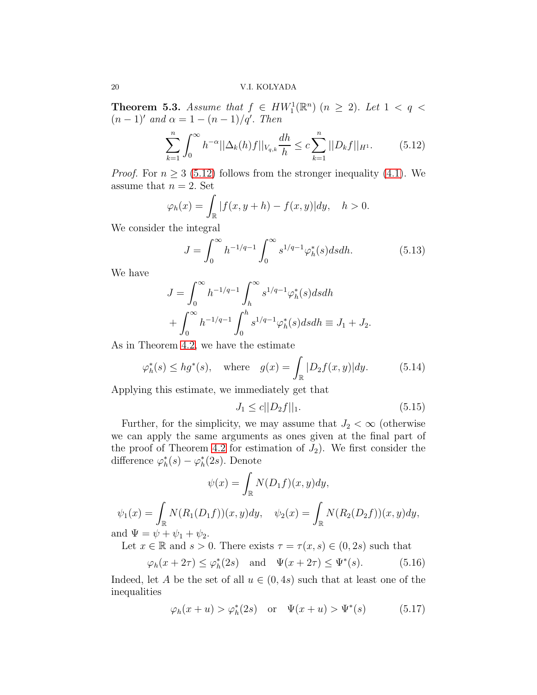**Theorem 5.3.** Assume that  $f \in HW_1^1(\mathbb{R}^n)$   $(n \geq 2)$ . Let  $1 < q <$  $(n-1)'$  and  $\alpha = 1 - (n-1)/q'$ . Then

<span id="page-19-0"></span>
$$
\sum_{k=1}^{n} \int_{0}^{\infty} h^{-\alpha} ||\Delta_{k}(h)f||_{V_{q,k}} \frac{dh}{h} \le c \sum_{k=1}^{n} ||D_{k}f||_{H^{1}}.
$$
 (5.12)

*Proof.* For  $n \geq 3$  [\(5.12\)](#page-19-0) follows from the stronger inequality [\(4.1\)](#page-11-0). We assume that  $n = 2$ . Set

$$
\varphi_h(x) = \int_{\mathbb{R}} |f(x, y + h) - f(x, y)| dy, \quad h > 0.
$$

We consider the integral

<span id="page-19-3"></span>
$$
J = \int_0^\infty h^{-1/q-1} \int_0^\infty s^{1/q-1} \varphi_h^*(s) ds dh.
$$
 (5.13)

We have

$$
J = \int_0^\infty h^{-1/q-1} \int_h^\infty s^{1/q-1} \varphi_h^*(s) ds dh
$$
  
+ 
$$
\int_0^\infty h^{-1/q-1} \int_0^h s^{1/q-1} \varphi_h^*(s) ds dh \equiv J_1 + J_2.
$$

As in Theorem [4.2,](#page-11-4) we have the estimate

$$
\varphi_h^*(s) \le hg^*(s), \quad \text{where} \quad g(x) = \int_{\mathbb{R}} |D_2 f(x, y)| dy. \tag{5.14}
$$

Applying this estimate, we immediately get that

<span id="page-19-4"></span>
$$
J_1 \le c ||D_2 f||_1. \tag{5.15}
$$

Further, for the simplicity, we may assume that  $J_2 < \infty$  (otherwise we can apply the same arguments as ones given at the final part of the proof of Theorem [4.2](#page-11-4) for estimation of  $J_2$ ). We first consider the difference  $\varphi_h^*(s) - \varphi_h^*(2s)$ . Denote

$$
\psi(x) = \int_{\mathbb{R}} N(D_1 f)(x, y) dy,
$$
  

$$
(D_1 f)(x, y) dy, \quad y(x) = \int N(R_1 f)(R_2 f)(x) dy
$$

$$
\psi_1(x) = \int_{\mathbb{R}} N(R_1(D_1 f))(x, y) dy, \quad \psi_2(x) = \int_{\mathbb{R}} N(R_2(D_2 f))(x, y) dy,
$$
  
and  $\Psi = \psi + \psi_1 + \psi_2.$ 

Let  $x \in \mathbb{R}$  and  $s > 0$ . There exists  $\tau = \tau(x, s) \in (0, 2s)$  such that

<span id="page-19-2"></span>
$$
\varphi_h(x+2\tau) \le \varphi_h^*(2s)
$$
 and  $\Psi(x+2\tau) \le \Psi^*(s)$ . (5.16)

Indeed, let A be the set of all  $u \in (0, 4s)$  such that at least one of the inequalities

<span id="page-19-1"></span>
$$
\varphi_h(x+u) > \varphi_h^*(2s) \quad \text{or} \quad \Psi(x+u) > \Psi^*(s) \tag{5.17}
$$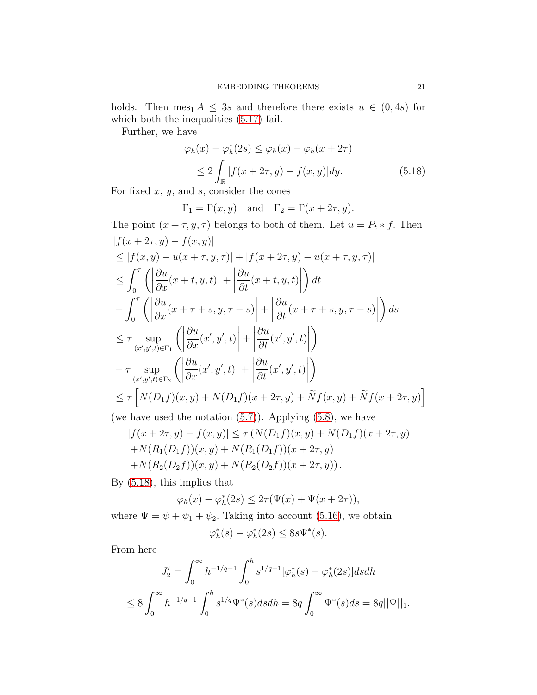holds. Then mes<sub>1</sub>  $A \leq 3s$  and therefore there exists  $u \in (0, 4s)$  for which both the inequalities  $(5.17)$  fail.

Further, we have

<span id="page-20-0"></span>
$$
\varphi_h(x) - \varphi_h^*(2s) \le \varphi_h(x) - \varphi_h(x + 2\tau)
$$
  
\n
$$
\le 2 \int_{\mathbb{R}} |f(x + 2\tau, y) - f(x, y)| dy.
$$
 (5.18)

For fixed  $x, y$ , and  $s$ , consider the cones

$$
\Gamma_1 = \Gamma(x, y)
$$
 and  $\Gamma_2 = \Gamma(x + 2\tau, y)$ .

The point  $(x + \tau, y, \tau)$  belongs to both of them. Let  $u = P_t * f$ . Then  $|f(x + 2\tau, y) - f(x, y)|$ 

$$
\leq |f(x, y) - u(x + \tau, y, \tau)| + |f(x + 2\tau, y) - u(x + \tau, y, \tau)|
$$
\n
$$
\leq \int_0^{\tau} \left( \left| \frac{\partial u}{\partial x}(x + t, y, t) \right| + \left| \frac{\partial u}{\partial t}(x + t, y, t) \right| \right) dt
$$
\n
$$
+ \int_0^{\tau} \left( \left| \frac{\partial u}{\partial x}(x + \tau + s, y, \tau - s) \right| + \left| \frac{\partial u}{\partial t}(x + \tau + s, y, \tau - s) \right| \right) ds
$$
\n
$$
\leq \tau \sup_{(x', y', t) \in \Gamma_1} \left( \left| \frac{\partial u}{\partial x}(x', y', t) \right| + \left| \frac{\partial u}{\partial t}(x', y', t) \right| \right)
$$
\n
$$
+ \tau \sup_{(x', y', t) \in \Gamma_2} \left( \left| \frac{\partial u}{\partial x}(x', y', t) \right| + \left| \frac{\partial u}{\partial t}(x', y', t) \right| \right)
$$
\n
$$
\leq \tau \left[ N(D_1 f)(x, y) + N(D_1 f)(x + 2\tau, y) + \tilde{N} f(x, y) + \tilde{N} f(x + 2\tau, y) \right]
$$

(we have used the notation  $(5.7)$ ). Applying  $(5.8)$ , we have

$$
|f(x + 2\tau, y) - f(x, y)| \le \tau (N(D_1 f)(x, y) + N(D_1 f)(x + 2\tau, y)
$$
  
+ N(R<sub>1</sub>(D<sub>1</sub>f))(x, y) + N(R<sub>1</sub>(D<sub>1</sub>f))(x + 2\tau, y)  
+ N(R<sub>2</sub>(D<sub>2</sub>f))(x, y) + N(R<sub>2</sub>(D<sub>2</sub>f))(x + 2\tau, y)).

By [\(5.18\)](#page-20-0), this implies that

$$
\varphi_h(x) - \varphi_h^*(2s) \leq 2\tau(\Psi(x) + \Psi(x + 2\tau)),
$$

where  $\Psi = \psi + \psi_1 + \psi_2$ . Taking into account [\(5.16\)](#page-19-2), we obtain

$$
\varphi_h^*(s) - \varphi_h^*(2s) \le 8s\Psi^*(s).
$$

From here

$$
J_2' = \int_0^\infty h^{-1/q-1} \int_0^h s^{1/q-1} [\varphi_h^*(s) - \varphi_h^*(2s)] ds dh
$$
  

$$
\leq 8 \int_0^\infty h^{-1/q-1} \int_0^h s^{1/q} \Psi^*(s) ds dh = 8q \int_0^\infty \Psi^*(s) ds = 8q ||\Psi||_1.
$$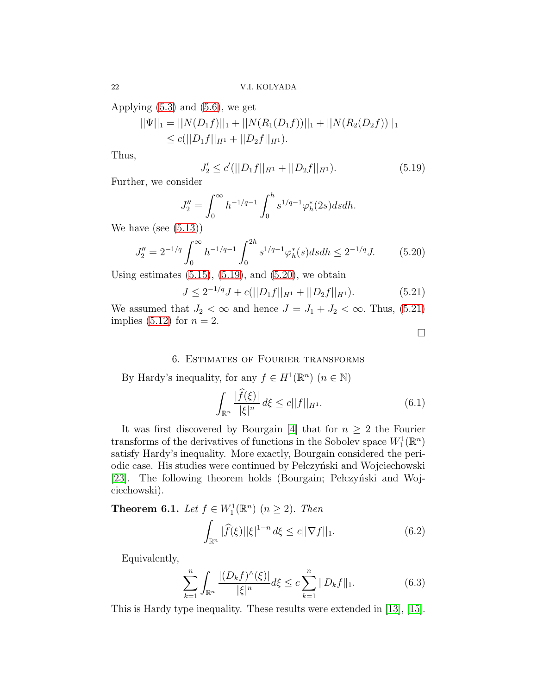Applying  $(5.3)$  and  $(5.6)$ , we get

$$
||\Psi||_1 = ||N(D_1f)||_1 + ||N(R_1(D_1f))||_1 + ||N(R_2(D_2f))||_1
$$
  
\n
$$
\leq c(||D_1f||_{H^1} + ||D_2f||_{H^1}).
$$

Thus,

<span id="page-21-0"></span>
$$
J_2' \le c'(||D_1f||_{H^1} + ||D_2f||_{H^1}).\tag{5.19}
$$

Further, we consider

$$
J_2'' = \int_0^\infty h^{-1/q-1} \int_0^h s^{1/q-1} \varphi_h^*(2s) ds dh.
$$

We have (see  $(5.13)$ )

<span id="page-21-1"></span>
$$
J_2'' = 2^{-1/q} \int_0^\infty h^{-1/q-1} \int_0^{2h} s^{1/q-1} \varphi_h^*(s) ds dh \le 2^{-1/q} J. \tag{5.20}
$$

Using estimates  $(5.15)$ ,  $(5.19)$ , and  $(5.20)$ , we obtain

<span id="page-21-2"></span>
$$
J \le 2^{-1/q} J + c(||D_1 f||_{H^1} + ||D_2 f||_{H^1}).
$$
\n(5.21)

We assumed that  $J_2 < \infty$  and hence  $J = J_1 + J_2 < \infty$ . Thus, [\(5.21\)](#page-21-2) implies  $(5.12)$  for  $n = 2$ .

 $\Box$ 

### 6. Estimates of Fourier transforms

By Hardy's inequality, for any  $f \in H^1(\mathbb{R}^n)$   $(n \in \mathbb{N})$ 

<span id="page-21-3"></span>
$$
\int_{\mathbb{R}^n} \frac{|\hat{f}(\xi)|}{|\xi|^n} d\xi \le c ||f||_{H^1}.
$$
\n(6.1)

It was first discovered by Bourgain [\[4\]](#page-26-7) that for  $n \geq 2$  the Fourier transforms of the derivatives of functions in the Sobolev space  $W_1^1(\mathbb{R}^n)$ satisfy Hardy's inequality. More exactly, Bourgain considered the periodic case. His studies were continued by Pełczyński and Wojciechowski [\[23\]](#page-26-8). The following theorem holds (Bourgain; Pełczyński and Wojciechowski).

**Theorem 6.1.** Let  $f \in W_1^1(\mathbb{R}^n)$   $(n \ge 2)$ . Then Z  $\int_{\mathbb{R}^n} |\widehat{f}(\xi)| |\xi|^{1-n} d\xi \le c ||\nabla f||_1.$  (6.2)

Equivalently,

<span id="page-21-5"></span><span id="page-21-4"></span>
$$
\sum_{k=1}^{n} \int_{\mathbb{R}^n} \frac{|(D_k f)^\wedge(\xi)|}{|\xi|^n} d\xi \le c \sum_{k=1}^{n} \|D_k f\|_1.
$$
 (6.3)

This is Hardy type inequality. These results were extended in [\[13\]](#page-26-20), [\[15\]](#page-26-15).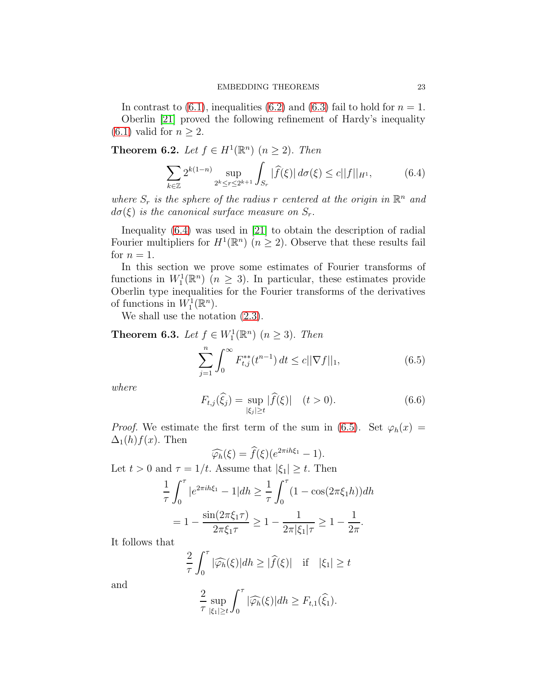In contrast to [\(6.1\)](#page-21-3), inequalities [\(6.2\)](#page-21-4) and [\(6.3\)](#page-21-5) fail to hold for  $n = 1$ . Oberlin [\[21\]](#page-26-6) proved the following refinement of Hardy's inequality  $(6.1)$  valid for  $n \geq 2$ .

**Theorem 6.2.** Let  $f \in H^1(\mathbb{R}^n)$   $(n \ge 2)$ . Then

<span id="page-22-0"></span>
$$
\sum_{k \in \mathbb{Z}} 2^{k(1-n)} \sup_{2^k \le r \le 2^{k+1}} \int_{S_r} |\widehat{f}(\xi)| \, d\sigma(\xi) \le c ||f||_{H^1},\tag{6.4}
$$

where  $S_r$  is the sphere of the radius r centered at the origin in  $\mathbb{R}^n$  and  $d\sigma(\xi)$  is the canonical surface measure on  $S_r$ .

Inequality [\(6.4\)](#page-22-0) was used in [\[21\]](#page-26-6) to obtain the description of radial Fourier multipliers for  $H^1(\mathbb{R}^n)$   $(n \geq 2)$ . Observe that these results fail for  $n = 1$ .

In this section we prove some estimates of Fourier transforms of functions in  $W_1^1(\mathbb{R}^n)$   $(n \geq 3)$ . In particular, these estimates provide Oberlin type inequalities for the Fourier transforms of the derivatives of functions in  $W_1^1(\mathbb{R}^n)$ .

We shall use the notation  $(2.3)$ .

<span id="page-22-2"></span>**Theorem 6.3.** Let  $f \in W_1^1(\mathbb{R}^n)$   $(n \geq 3)$ . Then

<span id="page-22-1"></span>
$$
\sum_{j=1}^{n} \int_{0}^{\infty} F_{t,j}^{**}(t^{n-1}) dt \le c ||\nabla f||_1,
$$
\n(6.5)

where

<span id="page-22-3"></span>
$$
F_{t,j}(\hat{\xi}_j) = \sup_{|\xi_j| \ge t} |\hat{f}(\xi)| \quad (t > 0). \tag{6.6}
$$

*Proof.* We estimate the first term of the sum in [\(6.5\)](#page-22-1). Set  $\varphi_h(x) =$  $\Delta_1(h)f(x)$ . Then

$$
\widehat{\varphi_h}(\xi) = \widehat{f}(\xi)(e^{2\pi ih\xi_1} - 1).
$$

Let  $t > 0$  and  $\tau = 1/t$ . Assume that  $|\xi_1| \geq t$ . Then

$$
\frac{1}{\tau} \int_0^{\tau} |e^{2\pi i h \xi_1} - 1| dh \ge \frac{1}{\tau} \int_0^{\tau} (1 - \cos(2\pi \xi_1 h)) dh
$$

$$
= 1 - \frac{\sin(2\pi \xi_1 \tau)}{2\pi \xi_1 \tau} \ge 1 - \frac{1}{2\pi |\xi_1|\tau} \ge 1 - \frac{1}{2\pi}.
$$

It follows that

$$
\frac{2}{\tau} \int_0^{\tau} |\widehat{\varphi_h}(\xi)| dh \ge |\widehat{f}(\xi)| \quad \text{if} \quad |\xi_1| \ge t
$$

and

$$
\frac{2}{\tau} \sup_{|\xi_1| \ge t} \int_0^{\tau} |\widehat{\varphi_h}(\xi)| dh \ge F_{t,1}(\widehat{\xi_1}).
$$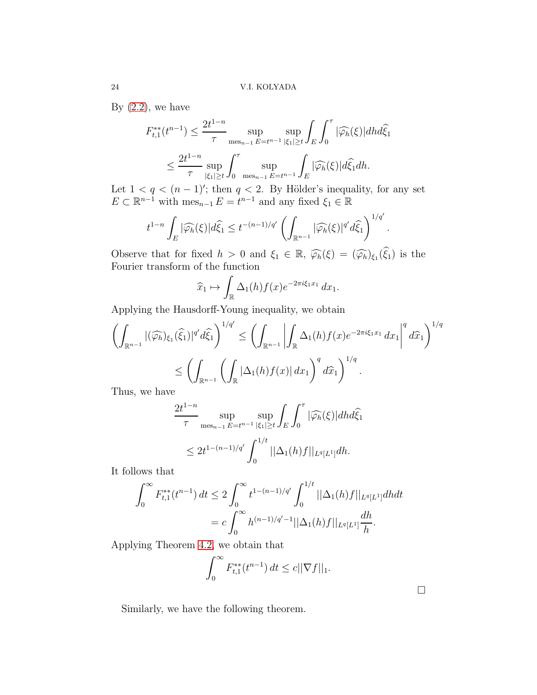By  $(2.2)$ , we have

$$
F_{t,1}^{**}(t^{n-1}) \le \frac{2t^{1-n}}{\tau} \sup_{\text{mes}_{n-1} \ E = t^{n-1}} \sup_{|\xi_1| \ge t} \int_E \int_0^{\tau} |\widehat{\varphi_h}(\xi)| dh d\widehat{\xi}_1
$$
  

$$
\le \frac{2t^{1-n}}{\tau} \sup_{|\xi_1| \ge t} \int_0^{\tau} \sup_{\text{mes}_{n-1} \ E = t^{n-1}} \int_E |\widehat{\varphi_h}(\xi)| d\widehat{\xi}_1 dh.
$$

Let  $1 < q < (n-1)$ '; then  $q < 2$ . By Hölder's inequality, for any set  $E \subset \mathbb{R}^{n-1}$  with  $\operatorname{mes}_{n-1} E = t^{n-1}$  and any fixed  $\xi_1 \in \mathbb{R}$ 

$$
t^{1-n}\int_{E}|\widehat{\varphi_h}(\xi)|d\widehat{\xi}_1 \leq t^{-(n-1)/q'}\left(\int_{\mathbb{R}^{n-1}}|\widehat{\varphi_h}(\xi)|^{q'}d\widehat{\xi}_1\right)^{1/q'}.
$$

Observe that for fixed  $h > 0$  and  $\xi_1 \in \mathbb{R}$ ,  $\widehat{\varphi}_h(\xi) = (\widehat{\varphi}_h)_{\xi_1}(\widehat{\xi}_1)$  is the Fourier transform of the function

$$
\widehat{x}_1 \mapsto \int_{\mathbb{R}} \Delta_1(h) f(x) e^{-2\pi i \xi_1 x_1} dx_1.
$$

Applying the Hausdorff-Young inequality, we obtain

$$
\left(\int_{\mathbb{R}^{n-1}} |(\widehat{\varphi_h})_{\xi_1}(\widehat{\xi}_1)|^{q'} d\widehat{\xi}_1\right)^{1/q'} \le \left(\int_{\mathbb{R}^{n-1}} \left|\int_{\mathbb{R}} \Delta_1(h) f(x) e^{-2\pi i \xi_1 x_1} dx_1\right|^{q} d\widehat{x}_1\right)^{1/q}
$$

$$
\le \left(\int_{\mathbb{R}^{n-1}} \left(\int_{\mathbb{R}} |\Delta_1(h) f(x)| dx_1\right)^{q} d\widehat{x}_1\right)^{1/q}.
$$

Thus, we have

$$
\frac{2t^{1-n}}{\tau} \sup_{\text{mes}_{n-1} E = t^{n-1}} \sup_{|\xi_1| \ge t} \int_E \int_0^\tau |\widehat{\varphi_h}(\xi)| dh d\widehat{\xi}_1
$$
  

$$
\le 2t^{1-(n-1)/q'} \int_0^{1/t} ||\Delta_1(h)f||_{L^q[L^1]} dh.
$$

It follows that

$$
\int_0^\infty F_{t,1}^{**}(t^{n-1}) dt \le 2 \int_0^\infty t^{1-(n-1)/q'} \int_0^{1/t} ||\Delta_1(h)f||_{L^q[L^1]} dh dt
$$
  
=  $c \int_0^\infty h^{(n-1)/q'-1} ||\Delta_1(h)f||_{L^q[L^1]} \frac{dh}{h}.$ 

Applying Theorem [4.2,](#page-11-4) we obtain that

$$
\int_0^\infty F_{t,1}^{**}(t^{n-1})\,dt \le c||\nabla f||_1.
$$

Similarly, we have the following theorem.

 $\Box$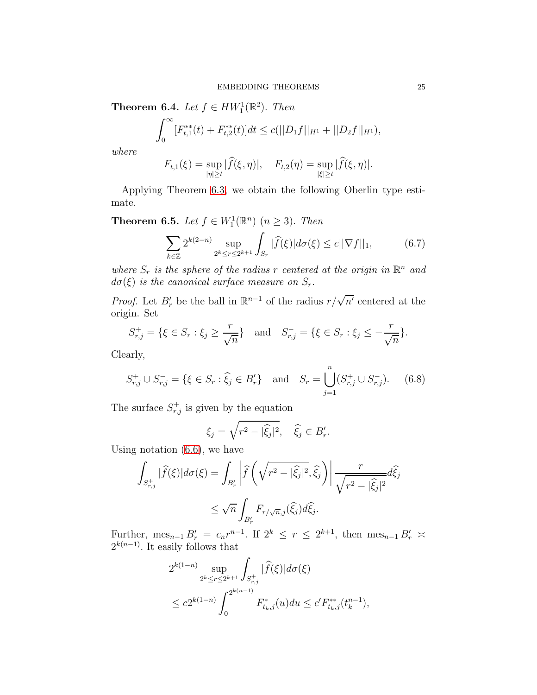**Theorem 6.4.** Let  $f \in HW_1^1(\mathbb{R}^2)$ . Then

$$
\int_0^\infty [F_{t,1}^{**}(t) + F_{t,2}^{**}(t)]dt \le c(||D_1f||_{H^1} + ||D_2f||_{H^1}),
$$

where

$$
F_{t,1}(\xi) = \sup_{|\eta| \ge t} |\widehat{f}(\xi, \eta)|, \quad F_{t,2}(\eta) = \sup_{|\xi| \ge t} |\widehat{f}(\xi, \eta)|.
$$

Applying Theorem [6.3,](#page-22-2) we obtain the following Oberlin type estimate.

**Theorem 6.5.** Let  $f \in W_1^1(\mathbb{R}^n)$   $(n \geq 3)$ . Then

<span id="page-24-1"></span>
$$
\sum_{k \in \mathbb{Z}} 2^{k(2-n)} \sup_{2^k \le r \le 2^{k+1}} \int_{S_r} |\widehat{f}(\xi)| d\sigma(\xi) \le c ||\nabla f||_1, \tag{6.7}
$$

where  $S_r$  is the sphere of the radius r centered at the origin in  $\mathbb{R}^n$  and  $d\sigma(\xi)$  is the canonical surface measure on  $S_r$ .

*Proof.* Let  $B'_r$  be the ball in  $\mathbb{R}^{n-1}$  of the radius  $r/\sqrt{n'}$  centered at the origin. Set

$$
S_{r,j}^+ = \{ \xi \in S_r : \xi_j \ge \frac{r}{\sqrt{n}} \} \text{ and } S_{r,j}^- = \{ \xi \in S_r : \xi_j \le -\frac{r}{\sqrt{n}} \}.
$$

Clearly,

<span id="page-24-0"></span>
$$
S_{r,j}^+ \cup S_{r,j}^- = \{ \xi \in S_r : \widehat{\xi}_j \in B'_r \} \quad \text{and} \quad S_r = \bigcup_{j=1}^n (S_{r,j}^+ \cup S_{r,j}^-). \tag{6.8}
$$

The surface  $S_{r,j}^+$  is given by the equation

$$
\xi_j = \sqrt{r^2 - |\widehat{\xi}_j|^2}, \quad \widehat{\xi}_j \in B'_r.
$$

Using notation [\(6.6\)](#page-22-3), we have

$$
\int_{S_{r,j}^+} |\widehat{f}(\xi)| d\sigma(\xi) = \int_{B'_r} \left| \widehat{f}\left(\sqrt{r^2 - |\widehat{\xi}_j|^2}, \widehat{\xi}_j\right) \right| \frac{r}{\sqrt{r^2 - |\widehat{\xi}_j|^2}} d\widehat{\xi}_j
$$
  

$$
\leq \sqrt{n} \int_{B'_r} F_{r/\sqrt{n},j}(\widehat{\xi}_j) d\widehat{\xi}_j.
$$

Further,  $\text{mes}_{n-1} B'_r = c_n r^{n-1}$ . If  $2^k \leq r \leq 2^{k+1}$ , then  $\text{mes}_{n-1} B'_r \geq$  $2^{k(n-1)}$ . It easily follows that

$$
2^{k(1-n)} \sup_{2^k \le r \le 2^{k+1}} \int_{S_{r,j}^+} |\widehat{f}(\xi)| d\sigma(\xi)
$$
  

$$
\le c2^{k(1-n)} \int_0^{2^{k(n-1)}} F_{t_k,j}^*(u) du \le c' F_{t_k,j}^{**}(t_k^{n-1}),
$$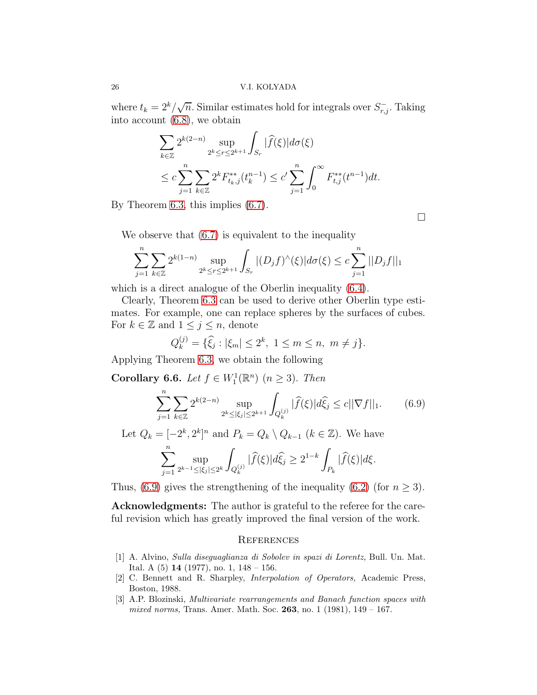where  $t_k = 2^k / \sqrt{n}$ . Similar estimates hold for integrals over  $S_{r,j}^-$ . Taking into account [\(6.8\)](#page-24-0), we obtain

$$
\sum_{k \in \mathbb{Z}} 2^{k(2-n)} \sup_{2^k \le r \le 2^{k+1}} \int_{S_r} |\widehat{f}(\xi)| d\sigma(\xi)
$$
  

$$
\le c \sum_{j=1}^n \sum_{k \in \mathbb{Z}} 2^k F_{t_k,j}^{**}(t_k^{n-1}) \le c' \sum_{j=1}^n \int_0^\infty F_{t,j}^{**}(t^{n-1}) dt.
$$

By Theorem [6.3,](#page-22-2) this implies [\(6.7\)](#page-24-1).

 $\Box$ 

We observe that [\(6.7\)](#page-24-1) is equivalent to the inequality

$$
\sum_{j=1}^{n} \sum_{k \in \mathbb{Z}} 2^{k(1-n)} \sup_{2^{k} \le r \le 2^{k+1}} \int_{S_r} |(D_j f)^{\wedge}(\xi)| d\sigma(\xi) \le c \sum_{j=1}^{n} ||D_j f||_1
$$

which is a direct analogue of the Oberlin inequality [\(6.4\)](#page-22-0).

Clearly, Theorem [6.3](#page-22-2) can be used to derive other Oberlin type estimates. For example, one can replace spheres by the surfaces of cubes. For  $k \in \mathbb{Z}$  and  $1 \leq j \leq n$ , denote

$$
Q_k^{(j)} = \{\hat{\xi}_j : |\xi_m| \le 2^k, \ 1 \le m \le n, \ m \ne j\}.
$$

Applying Theorem [6.3,](#page-22-2) we obtain the following

Corollary 6.6. Let  $f \in W_1^1(\mathbb{R}^n)$   $(n \geq 3)$ . Then

<span id="page-25-3"></span>
$$
\sum_{j=1}^{n} \sum_{k \in \mathbb{Z}} 2^{k(2-n)} \sup_{2^{k} \leq |\xi_{j}| \leq 2^{k+1}} \int_{Q_{k}^{(j)}} |\widehat{f}(\xi)| d\widehat{\xi}_{j} \leq c ||\nabla f||_{1}.
$$
 (6.9)

Let  $Q_k = [-2^k, 2^k]^n$  and  $P_k = Q_k \setminus Q_{k-1}$   $(k \in \mathbb{Z})$ . We have

$$
\sum_{j=1}^n \sup_{2^{k-1} \leq |\xi_j| \leq 2^k} \int_{Q_k^{(j)}} |\widehat{f}(\xi)| d \widehat{\xi_j} \geq 2^{1-k} \int_{P_k} |\widehat{f}(\xi)| d \xi.
$$

Thus, [\(6.9\)](#page-25-3) gives the strengthening of the inequality [\(6.2\)](#page-21-4) (for  $n \geq 3$ ).

Acknowledgments: The author is grateful to the referee for the careful revision which has greatly improved the final version of the work.

### **REFERENCES**

- <span id="page-25-0"></span>[1] A. Alvino, Sulla diseguaglianza di Sobolev in spazi di Lorentz, Bull. Un. Mat. Ital. A  $(5)$  14  $(1977)$ , no. 1, 148 – 156.
- <span id="page-25-1"></span>[2] C. Bennett and R. Sharpley, Interpolation of Operators, Academic Press, Boston, 1988.
- <span id="page-25-2"></span>[3] A.P. Blozinski, Multivariate rearrangements and Banach function spaces with mixed norms, Trans. Amer. Math. Soc. 263, no. 1 (1981),  $149 - 167$ .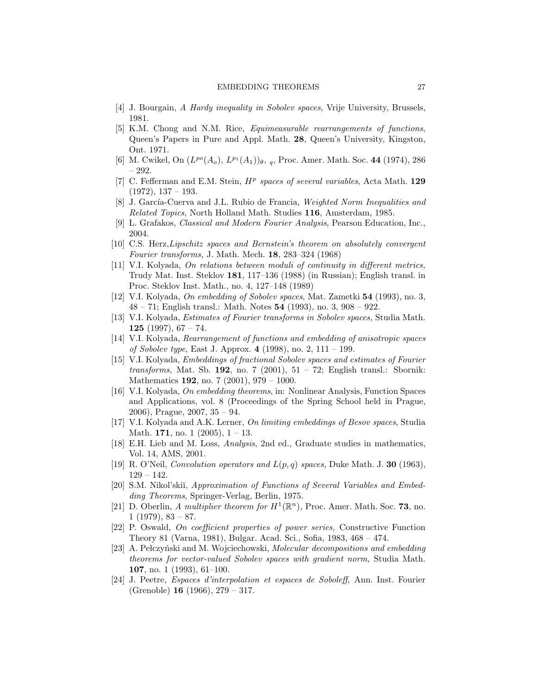- <span id="page-26-9"></span><span id="page-26-7"></span>[4] J. Bourgain, A Hardy inequality in Sobolev spaces, Vrije University, Brussels, 1981.
- [5] K.M. Chong and N.M. Rice, Equimeasurable rearrangements of functions, Queen's Papers in Pure and Appl. Math. 28, Queen's University, Kingston, Ont. 1971.
- <span id="page-26-17"></span><span id="page-26-14"></span>[6] M. Cwikel, On  $(L^{po}(A_o), L^{p_1}(A_1))_{\theta}, q$ , Proc. Amer. Math. Soc. 44 (1974), 286 – 292.
- [7] C. Fefferman and E.M. Stein,  $H^p$  spaces of several variables, Acta Math. 129  $(1972), 137 - 193.$
- <span id="page-26-19"></span><span id="page-26-18"></span>[8] J. García-Cuerva and J.L. Rubio de Francia, Weighted Norm Inequalities and Related Topics, North Holland Math. Studies 116, Amsterdam, 1985.
- <span id="page-26-2"></span>[9] L. Grafakos, Classical and Modern Fourier Analysis, Pearson Education, Inc., 2004.
- [10] C.S. Herz,Lipschitz spaces and Bernstein's theorem on absolutely convergent Fourier transforms, J. Math. Mech. 18, 283–324 (1968)
- <span id="page-26-3"></span>[11] V.I. Kolyada, On relations between moduli of continuity in different metrics, Trudy Mat. Inst. Steklov 181, 117–136 (1988) (in Russian); English transl. in Proc. Steklov Inst. Math., no. 4, 127–148 (1989)
- <span id="page-26-4"></span>[12] V.I. Kolyada, On embedding of Sobolev spaces, Mat. Zametki 54 (1993), no. 3, 48 – 71; English transl.: Math. Notes 54 (1993), no. 3, 908 – 922.
- <span id="page-26-20"></span>[13] V.I. Kolyada, Estimates of Fourier transforms in Sobolev spaces, Studia Math. 125 (1997),  $67 - 74$ .
- <span id="page-26-11"></span>[14] V.I. Kolyada, Rearrangement of functions and embedding of anisotropic spaces of Sobolev type, East J. Approx. 4 (1998), no. 2, 111 – 199.
- <span id="page-26-15"></span>[15] V.I. Kolyada, Embeddings of fractional Sobolev spaces and estimates of Fourier transforms, Mat. Sb. 192, no. 7 (2001),  $51 - 72$ ; English transl.: Sbornik: Mathematics **192**, no. 7 (2001), 979 – 1000.
- <span id="page-26-12"></span>[16] V.I. Kolyada, On embedding theorems, in: Nonlinear Analysis, Function Spaces and Applications, vol. 8 (Proceedings of the Spring School held in Prague, 2006), Prague, 2007, 35 – 94.
- <span id="page-26-10"></span>[17] V.I. Kolyada and A.K. Lerner, On limiting embeddings of Besov spaces, Studia Math. 171, no. 1  $(2005)$ , 1 – 13.
- <span id="page-26-16"></span>[18] E.H. Lieb and M. Loss, Analysis, 2nd ed., Graduate studies in mathematics, Vol. 14, AMS, 2001.
- <span id="page-26-13"></span><span id="page-26-0"></span>[19] R. O'Neil, *Convolution operators and*  $L(p,q)$  spaces, Duke Math. J. **30** (1963),  $129 - 142.$
- [20] S.M. Nikol'skiı̆, *Approximation of Functions of Several Variables and Embed*ding Theorems, Springer-Verlag, Berlin, 1975.
- <span id="page-26-6"></span>[21] D. Oberlin, A multiplier theorem for  $H^1(\mathbb{R}^n)$ , Proc. Amer. Math. Soc. 73, no.  $1$  (1979), 83 – 87.
- <span id="page-26-5"></span>[22] P. Oswald, On coefficient properties of power series, Constructive Function Theory 81 (Varna, 1981), Bulgar. Acad. Sci., Sofia, 1983, 468 – 474.
- <span id="page-26-8"></span>[23] A. Pełczyński and M. Wojciechowski, Molecular decompositions and embedding theorems for vector-valued Sobolev spaces with gradient norm, Studia Math. 107, no. 1 (1993), 61–100.
- <span id="page-26-1"></span>[24] J. Peetre, Espaces d'interpolation et espaces de Soboleff, Ann. Inst. Fourier (Grenoble) 16 (1966), 279 – 317.